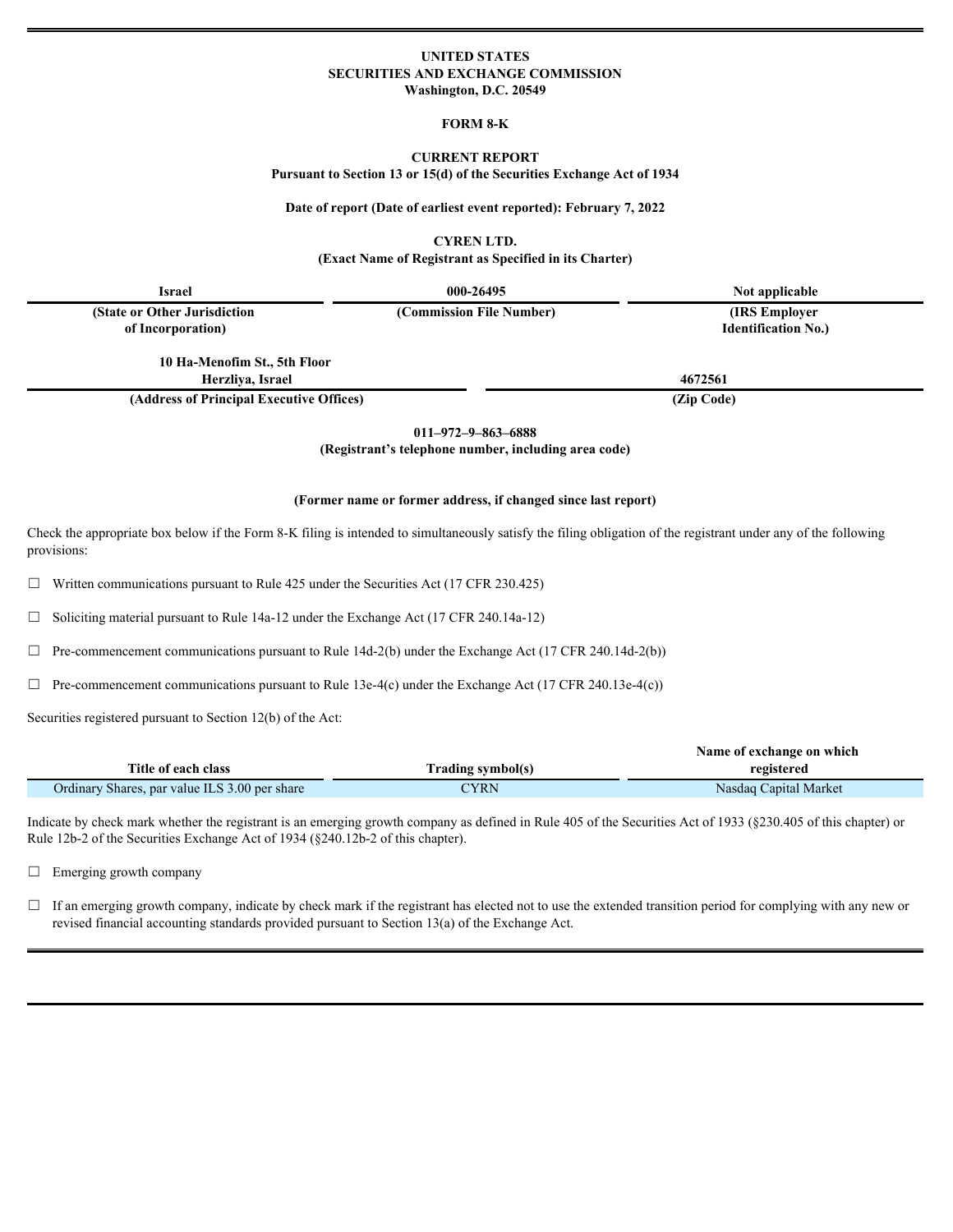# **UNITED STATES SECURITIES AND EXCHANGE COMMISSION Washington, D.C. 20549**

#### **FORM 8-K**

#### **CURRENT REPORT**

**Pursuant to Section 13 or 15(d) of the Securities Exchange Act of 1934**

#### **Date of report (Date of earliest event reported): February 7, 2022**

## **CYREN LTD.**

**(Exact Name of Registrant as Specified in its Charter)**

| <b>Israel</b>                            | 000-26495                | Not applicable             |  |
|------------------------------------------|--------------------------|----------------------------|--|
| (State or Other Jurisdiction             | (Commission File Number) | (IRS Employer              |  |
| of Incorporation)                        |                          | <b>Identification No.)</b> |  |
| 10 Ha-Menofim St., 5th Floor             |                          |                            |  |
| Herzliva, Israel                         |                          | 4672561                    |  |
| (Address of Principal Executive Offices) |                          | (Zip Code)                 |  |
|                                          |                          |                            |  |

**011–972–9–863–6888**

**(Registrant's telephone number, including area code)**

#### **(Former name or former address, if changed since last report)**

Check the appropriate box below if the Form 8-K filing is intended to simultaneously satisfy the filing obligation of the registrant under any of the following provisions:

 $\Box$  Written communications pursuant to Rule 425 under the Securities Act (17 CFR 230.425)

☐ Soliciting material pursuant to Rule 14a-12 under the Exchange Act (17 CFR 240.14a-12)

 $\Box$  Pre-commencement communications pursuant to Rule 14d-2(b) under the Exchange Act (17 CFR 240.14d-2(b))

 $\Box$  Pre-commencement communications pursuant to Rule 13e-4(c) under the Exchange Act (17 CFR 240.13e-4(c))

Securities registered pursuant to Section 12(b) of the Act:

|                                                    | Name of exchange on which |                               |  |
|----------------------------------------------------|---------------------------|-------------------------------|--|
| Title of each class                                | Trading symbol(s)         | registered                    |  |
| Ordinary<br>y Shares, par value ILS 3.00 per share | CYRN                      | l Market<br>Nasdaq<br>apıtal: |  |

Indicate by check mark whether the registrant is an emerging growth company as defined in Rule 405 of the Securities Act of 1933 (§230.405 of this chapter) or Rule 12b-2 of the Securities Exchange Act of 1934 (§240.12b-2 of this chapter).

□ Emerging growth company

 $\Box$  If an emerging growth company, indicate by check mark if the registrant has elected not to use the extended transition period for complying with any new or revised financial accounting standards provided pursuant to Section 13(a) of the Exchange Act.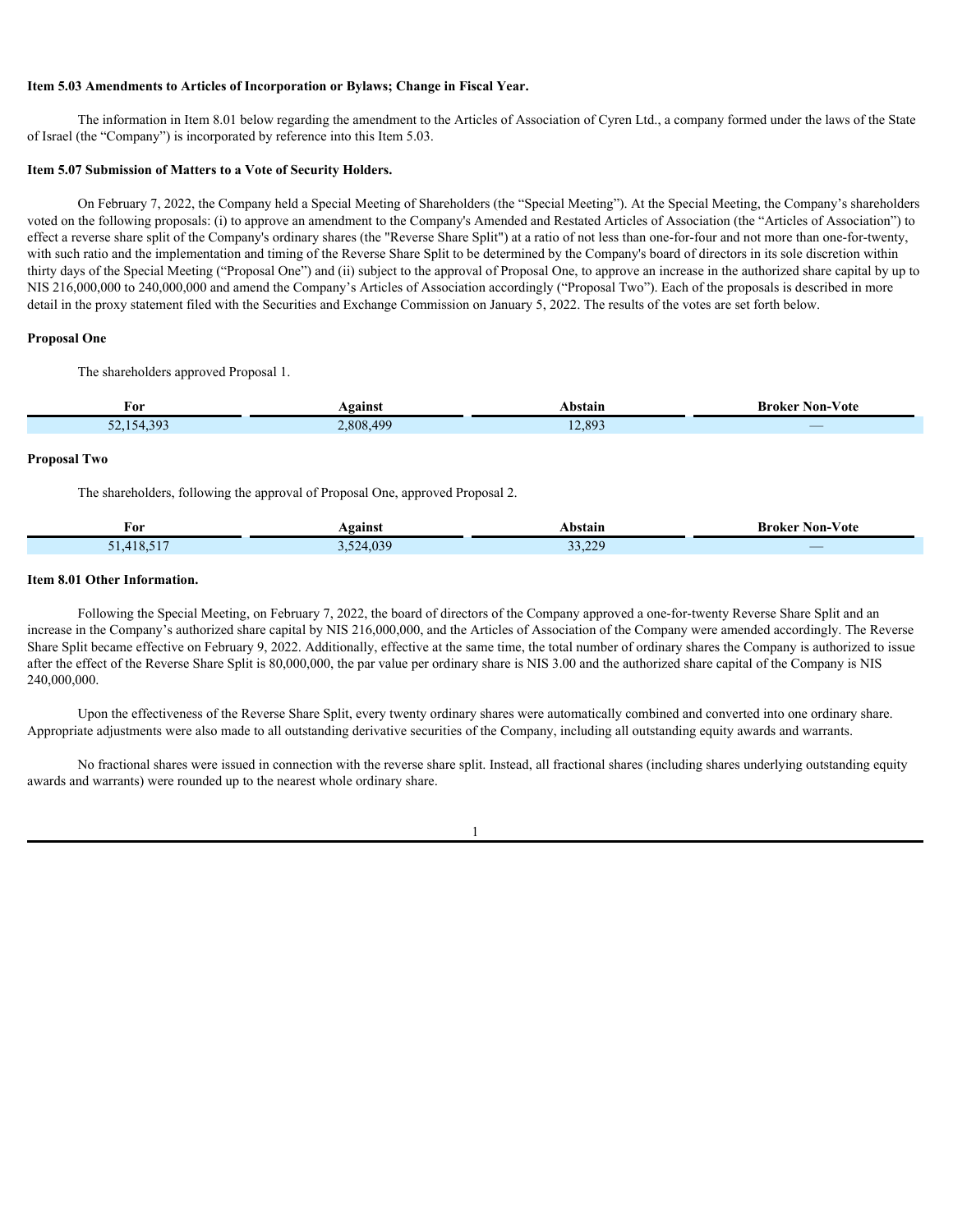# **Item 5.03 Amendments to Articles of Incorporation or Bylaws; Change in Fiscal Year.**

The information in Item 8.01 below regarding the amendment to the Articles of Association of Cyren Ltd., a company formed under the laws of the State of Israel (the "Company") is incorporated by reference into this Item 5.03.

#### **Item 5.07 Submission of Matters to a Vote of Security Holders.**

On February 7, 2022, the Company held a Special Meeting of Shareholders (the "Special Meeting"). At the Special Meeting, the Company's shareholders voted on the following proposals: (i) to approve an amendment to the Company's Amended and Restated Articles of Association (the "Articles of Association") to effect a reverse share split of the Company's ordinary shares (the "Reverse Share Split") at a ratio of not less than one-for-four and not more than one-for-twenty, with such ratio and the implementation and timing of the Reverse Share Split to be determined by the Company's board of directors in its sole discretion within thirty days of the Special Meeting ("Proposal One") and (ii) subject to the approval of Proposal One, to approve an increase in the authorized share capital by up to NIS 216,000,000 to 240,000,000 and amend the Company's Articles of Association accordingly ("Proposal Two"). Each of the proposals is described in more detail in the proxy statement filed with the Securities and Exchange Commission on January 5, 2022. The results of the votes are set forth below.

#### **Proposal One**

The shareholders approved Proposal 1.

| нΛ                             | Against                                | Abstain | $-$<br>$\sim$ $\sim$<br>`Non-Vote<br><b>Broker</b> f |
|--------------------------------|----------------------------------------|---------|------------------------------------------------------|
| 52, 154, 303<br>----<br>$\sim$ | $\overline{101}$<br>$2,8084$ .<br>0.12 | 12,893  |                                                      |

#### **Proposal Two**

The shareholders, following the approval of Proposal One, approved Proposal 2.

| For        | Against   | Abstain<br>.               | Broker<br>Non-Vote |
|------------|-----------|----------------------------|--------------------|
| 51,418,517 | 3,524,039 | 22.22<br>$\sim$<br>∟∠, ر ر |                    |

## **Item 8.01 Other Information.**

Following the Special Meeting, on February 7, 2022, the board of directors of the Company approved a one-for-twenty Reverse Share Split and an increase in the Company's authorized share capital by NIS 216,000,000, and the Articles of Association of the Company were amended accordingly. The Reverse Share Split became effective on February 9, 2022. Additionally, effective at the same time, the total number of ordinary shares the Company is authorized to issue after the effect of the Reverse Share Split is 80,000,000, the par value per ordinary share is NIS 3.00 and the authorized share capital of the Company is NIS 240,000,000.

Upon the effectiveness of the Reverse Share Split, every twenty ordinary shares were automatically combined and converted into one ordinary share. Appropriate adjustments were also made to all outstanding derivative securities of the Company, including all outstanding equity awards and warrants.

No fractional shares were issued in connection with the reverse share split. Instead, all fractional shares (including shares underlying outstanding equity awards and warrants) were rounded up to the nearest whole ordinary share.

1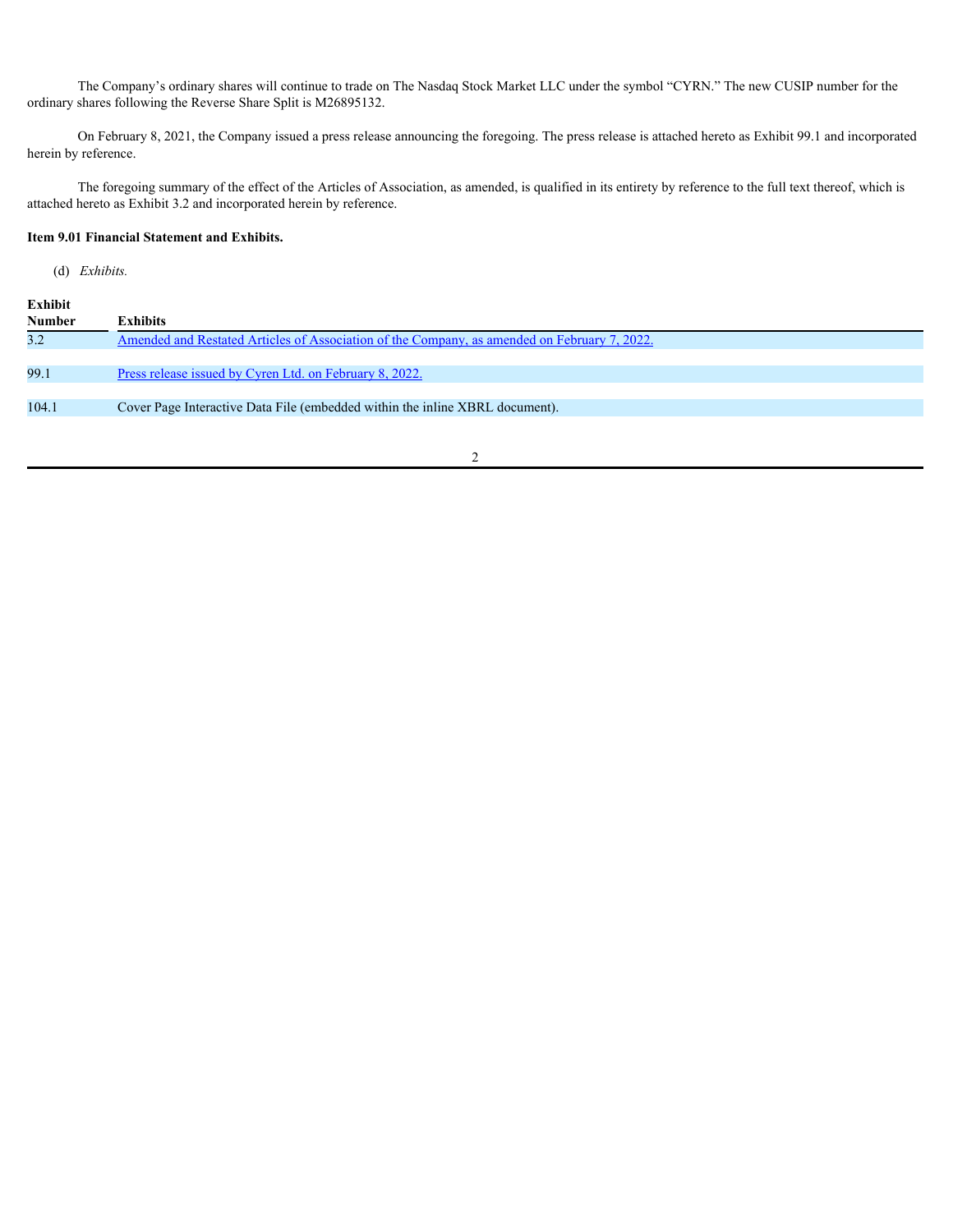The Company's ordinary shares will continue to trade on The Nasdaq Stock Market LLC under the symbol "CYRN." The new CUSIP number for the ordinary shares following the Reverse Share Split is M26895132.

On February 8, 2021, the Company issued a press release announcing the foregoing. The press release is attached hereto as Exhibit 99.1 and incorporated herein by reference.

The foregoing summary of the effect of the Articles of Association, as amended, is qualified in its entirety by reference to the full text thereof, which is attached hereto as Exhibit 3.2 and incorporated herein by reference.

## **Item 9.01 Financial Statement and Exhibits.**

(d) *Exhibits.*

| Exhibit       |                                                                                              |
|---------------|----------------------------------------------------------------------------------------------|
| <b>Number</b> | <b>Exhibits</b>                                                                              |
| 3.2           | Amended and Restated Articles of Association of the Company, as amended on February 7, 2022. |
|               |                                                                                              |
| 99.1          | Press release issued by Cyren Ltd. on February 8, 2022.                                      |
|               |                                                                                              |
|               | Cover Page Interactive Data File (embedded within the inline XBRL document).                 |
|               |                                                                                              |
| 104.1         |                                                                                              |

2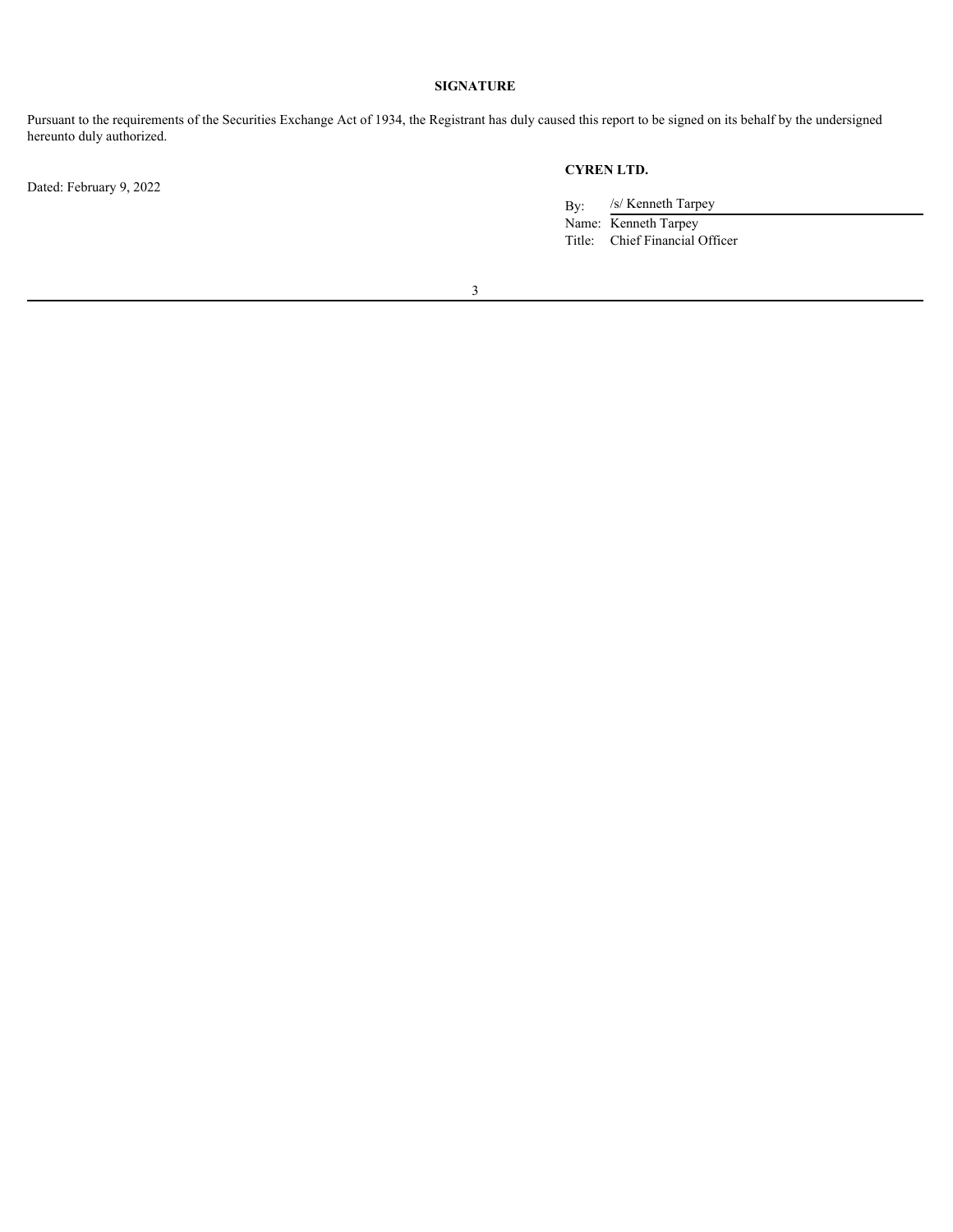# **SIGNATURE**

Pursuant to the requirements of the Securities Exchange Act of 1934, the Registrant has duly caused this report to be signed on its behalf by the undersigned hereunto duly authorized.

Dated: February 9, 2022

# **CYREN LTD.**

By: /s/ Kenneth Tarpey

Name: Kenneth Tarpey Title: Chief Financial Officer

3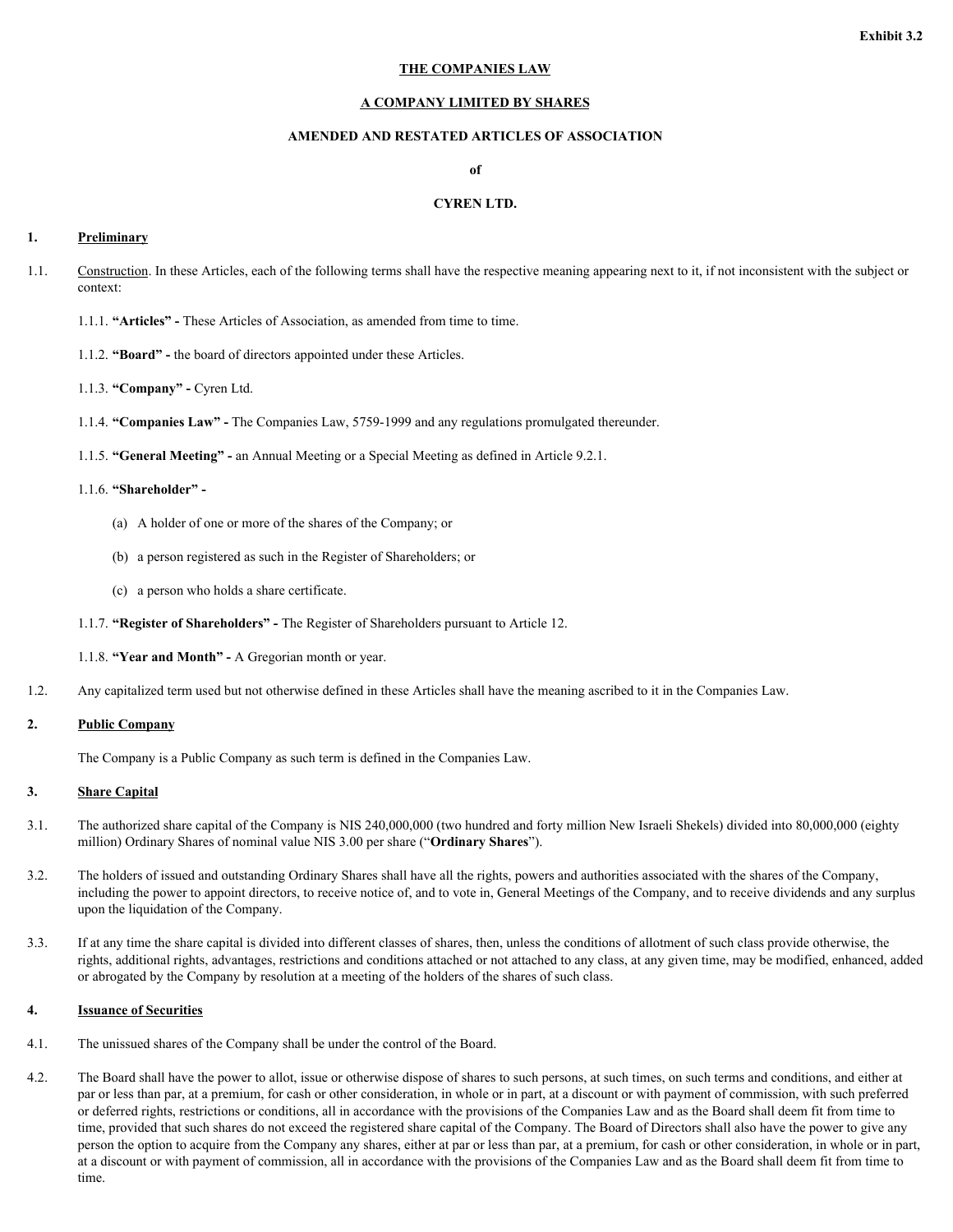# **Exhibit 3.2**

#### **THE COMPANIES LAW**

## **A COMPANY LIMITED BY SHARES**

# **AMENDED AND RESTATED ARTICLES OF ASSOCIATION**

**of**

# **CYREN LTD.**

#### <span id="page-4-0"></span>**1. Preliminary**

- 1.1. Construction. In these Articles, each of the following terms shall have the respective meaning appearing next to it, if not inconsistent with the subject or context:
	- 1.1.1. **"Articles"** These Articles of Association, as amended from time to time.
	- 1.1.2. **"Board"** the board of directors appointed under these Articles.
	- 1.1.3. **"Company"** Cyren Ltd.
	- 1.1.4. **"Companies Law"** The Companies Law, 5759-1999 and any regulations promulgated thereunder.
	- 1.1.5. **"General Meeting"** an Annual Meeting or a Special Meeting as defined in Article 9.2.1.

## 1.1.6. **"Shareholder" -**

- (a) A holder of one or more of the shares of the Company; or
- (b) a person registered as such in the Register of Shareholders; or
- (c) a person who holds a share certificate.
- 1.1.7. **"Register of Shareholders"** The Register of Shareholders pursuant to Article 12.
- 1.1.8. **"Year and Month"** A Gregorian month or year.
- 1.2. Any capitalized term used but not otherwise defined in these Articles shall have the meaning ascribed to it in the Companies Law.

#### **2. Public Company**

The Company is a Public Company as such term is defined in the Companies Law.

#### **3. Share Capital**

- 3.1. The authorized share capital of the Company is NIS 240,000,000 (two hundred and forty million New Israeli Shekels) divided into 80,000,000 (eighty million) Ordinary Shares of nominal value NIS 3.00 per share ("**Ordinary Shares**").
- 3.2. The holders of issued and outstanding Ordinary Shares shall have all the rights, powers and authorities associated with the shares of the Company, including the power to appoint directors, to receive notice of, and to vote in, General Meetings of the Company, and to receive dividends and any surplus upon the liquidation of the Company.
- 3.3. If at any time the share capital is divided into different classes of shares, then, unless the conditions of allotment of such class provide otherwise, the rights, additional rights, advantages, restrictions and conditions attached or not attached to any class, at any given time, may be modified, enhanced, added or abrogated by the Company by resolution at a meeting of the holders of the shares of such class.

### **4. Issuance of Securities**

- 4.1. The unissued shares of the Company shall be under the control of the Board.
- 4.2. The Board shall have the power to allot, issue or otherwise dispose of shares to such persons, at such times, on such terms and conditions, and either at par or less than par, at a premium, for cash or other consideration, in whole or in part, at a discount or with payment of commission, with such preferred or deferred rights, restrictions or conditions, all in accordance with the provisions of the Companies Law and as the Board shall deem fit from time to time, provided that such shares do not exceed the registered share capital of the Company. The Board of Directors shall also have the power to give any person the option to acquire from the Company any shares, either at par or less than par, at a premium, for cash or other consideration, in whole or in part, at a discount or with payment of commission, all in accordance with the provisions of the Companies Law and as the Board shall deem fit from time to time.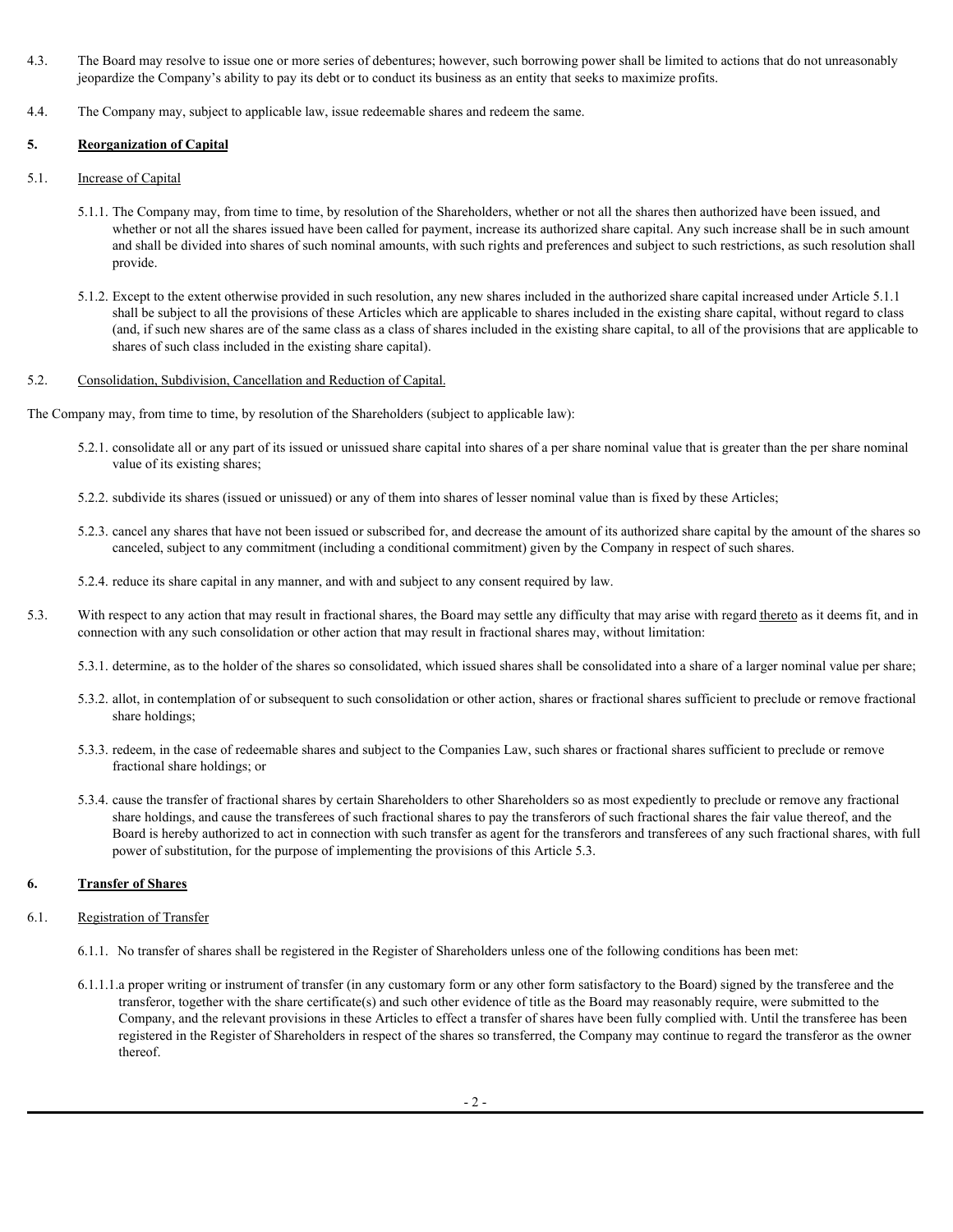- 4.3. The Board may resolve to issue one or more series of debentures; however, such borrowing power shall be limited to actions that do not unreasonably jeopardize the Company's ability to pay its debt or to conduct its business as an entity that seeks to maximize profits.
- 4.4. The Company may, subject to applicable law, issue redeemable shares and redeem the same.

# **5. Reorganization of Capital**

- 5.1. Increase of Capital
	- 5.1.1. The Company may, from time to time, by resolution of the Shareholders, whether or not all the shares then authorized have been issued, and whether or not all the shares issued have been called for payment, increase its authorized share capital. Any such increase shall be in such amount and shall be divided into shares of such nominal amounts, with such rights and preferences and subject to such restrictions, as such resolution shall provide.
	- 5.1.2. Except to the extent otherwise provided in such resolution, any new shares included in the authorized share capital increased under Article 5.1.1 shall be subject to all the provisions of these Articles which are applicable to shares included in the existing share capital, without regard to class (and, if such new shares are of the same class as a class of shares included in the existing share capital, to all of the provisions that are applicable to shares of such class included in the existing share capital).

## 5.2. Consolidation, Subdivision, Cancellation and Reduction of Capital.

The Company may, from time to time, by resolution of the Shareholders (subject to applicable law):

- 5.2.1. consolidate all or any part of its issued or unissued share capital into shares of a per share nominal value that is greater than the per share nominal value of its existing shares;
- 5.2.2. subdivide its shares (issued or unissued) or any of them into shares of lesser nominal value than is fixed by these Articles;
- 5.2.3. cancel any shares that have not been issued or subscribed for, and decrease the amount of its authorized share capital by the amount of the shares so canceled, subject to any commitment (including a conditional commitment) given by the Company in respect of such shares.
- 5.2.4. reduce its share capital in any manner, and with and subject to any consent required by law.
- 5.3. With respect to any action that may result in fractional shares, the Board may settle any difficulty that may arise with regard thereto as it deems fit, and in connection with any such consolidation or other action that may result in fractional shares may, without limitation:
	- 5.3.1. determine, as to the holder of the shares so consolidated, which issued shares shall be consolidated into a share of a larger nominal value per share;
	- 5.3.2. allot, in contemplation of or subsequent to such consolidation or other action, shares or fractional shares sufficient to preclude or remove fractional share holdings;
	- 5.3.3. redeem, in the case of redeemable shares and subject to the Companies Law, such shares or fractional shares sufficient to preclude or remove fractional share holdings; or
	- 5.3.4. cause the transfer of fractional shares by certain Shareholders to other Shareholders so as most expediently to preclude or remove any fractional share holdings, and cause the transferees of such fractional shares to pay the transferors of such fractional shares the fair value thereof, and the Board is hereby authorized to act in connection with such transfer as agent for the transferors and transferees of any such fractional shares, with full power of substitution, for the purpose of implementing the provisions of this Article 5.3.

# **6. Transfer of Shares**

## 6.1. Registration of Transfer

- 6.1.1. No transfer of shares shall be registered in the Register of Shareholders unless one of the following conditions has been met:
- 6.1.1.1.a proper writing or instrument of transfer (in any customary form or any other form satisfactory to the Board) signed by the transferee and the transferor, together with the share certificate(s) and such other evidence of title as the Board may reasonably require, were submitted to the Company, and the relevant provisions in these Articles to effect a transfer of shares have been fully complied with. Until the transferee has been registered in the Register of Shareholders in respect of the shares so transferred, the Company may continue to regard the transferor as the owner thereof.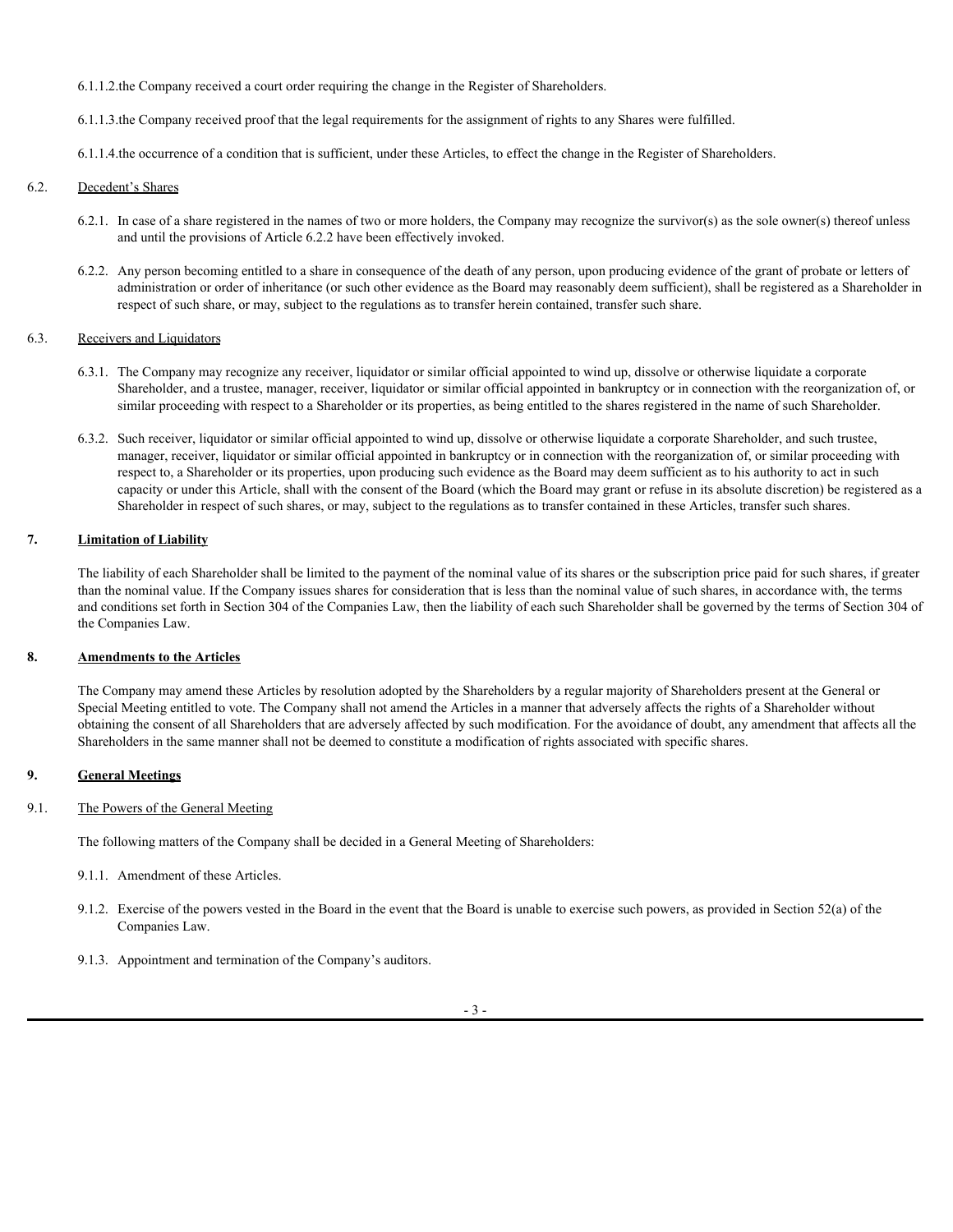- 6.1.1.2.the Company received a court order requiring the change in the Register of Shareholders.
- 6.1.1.3.the Company received proof that the legal requirements for the assignment of rights to any Shares were fulfilled.
- 6.1.1.4.the occurrence of a condition that is sufficient, under these Articles, to effect the change in the Register of Shareholders.

## 6.2. Decedent's Shares

- 6.2.1. In case of a share registered in the names of two or more holders, the Company may recognize the survivor(s) as the sole owner(s) thereof unless and until the provisions of Article 6.2.2 have been effectively invoked.
- 6.2.2. Any person becoming entitled to a share in consequence of the death of any person, upon producing evidence of the grant of probate or letters of administration or order of inheritance (or such other evidence as the Board may reasonably deem sufficient), shall be registered as a Shareholder in respect of such share, or may, subject to the regulations as to transfer herein contained, transfer such share.

## 6.3. Receivers and Liquidators

- 6.3.1. The Company may recognize any receiver, liquidator or similar official appointed to wind up, dissolve or otherwise liquidate a corporate Shareholder, and a trustee, manager, receiver, liquidator or similar official appointed in bankruptcy or in connection with the reorganization of, or similar proceeding with respect to a Shareholder or its properties, as being entitled to the shares registered in the name of such Shareholder.
- 6.3.2. Such receiver, liquidator or similar official appointed to wind up, dissolve or otherwise liquidate a corporate Shareholder, and such trustee, manager, receiver, liquidator or similar official appointed in bankruptcy or in connection with the reorganization of, or similar proceeding with respect to, a Shareholder or its properties, upon producing such evidence as the Board may deem sufficient as to his authority to act in such capacity or under this Article, shall with the consent of the Board (which the Board may grant or refuse in its absolute discretion) be registered as a Shareholder in respect of such shares, or may, subject to the regulations as to transfer contained in these Articles, transfer such shares.

# **7. Limitation of Liability**

The liability of each Shareholder shall be limited to the payment of the nominal value of its shares or the subscription price paid for such shares, if greater than the nominal value. If the Company issues shares for consideration that is less than the nominal value of such shares, in accordance with, the terms and conditions set forth in Section 304 of the Companies Law, then the liability of each such Shareholder shall be governed by the terms of Section 304 of the Companies Law.

# **8. Amendments to the Articles**

The Company may amend these Articles by resolution adopted by the Shareholders by a regular majority of Shareholders present at the General or Special Meeting entitled to vote. The Company shall not amend the Articles in a manner that adversely affects the rights of a Shareholder without obtaining the consent of all Shareholders that are adversely affected by such modification. For the avoidance of doubt, any amendment that affects all the Shareholders in the same manner shall not be deemed to constitute a modification of rights associated with specific shares.

# **9. General Meetings**

# 9.1. The Powers of the General Meeting

The following matters of the Company shall be decided in a General Meeting of Shareholders:

- 9.1.1. Amendment of these Articles.
- 9.1.2. Exercise of the powers vested in the Board in the event that the Board is unable to exercise such powers, as provided in Section 52(a) of the Companies Law.
- 9.1.3. Appointment and termination of the Company's auditors.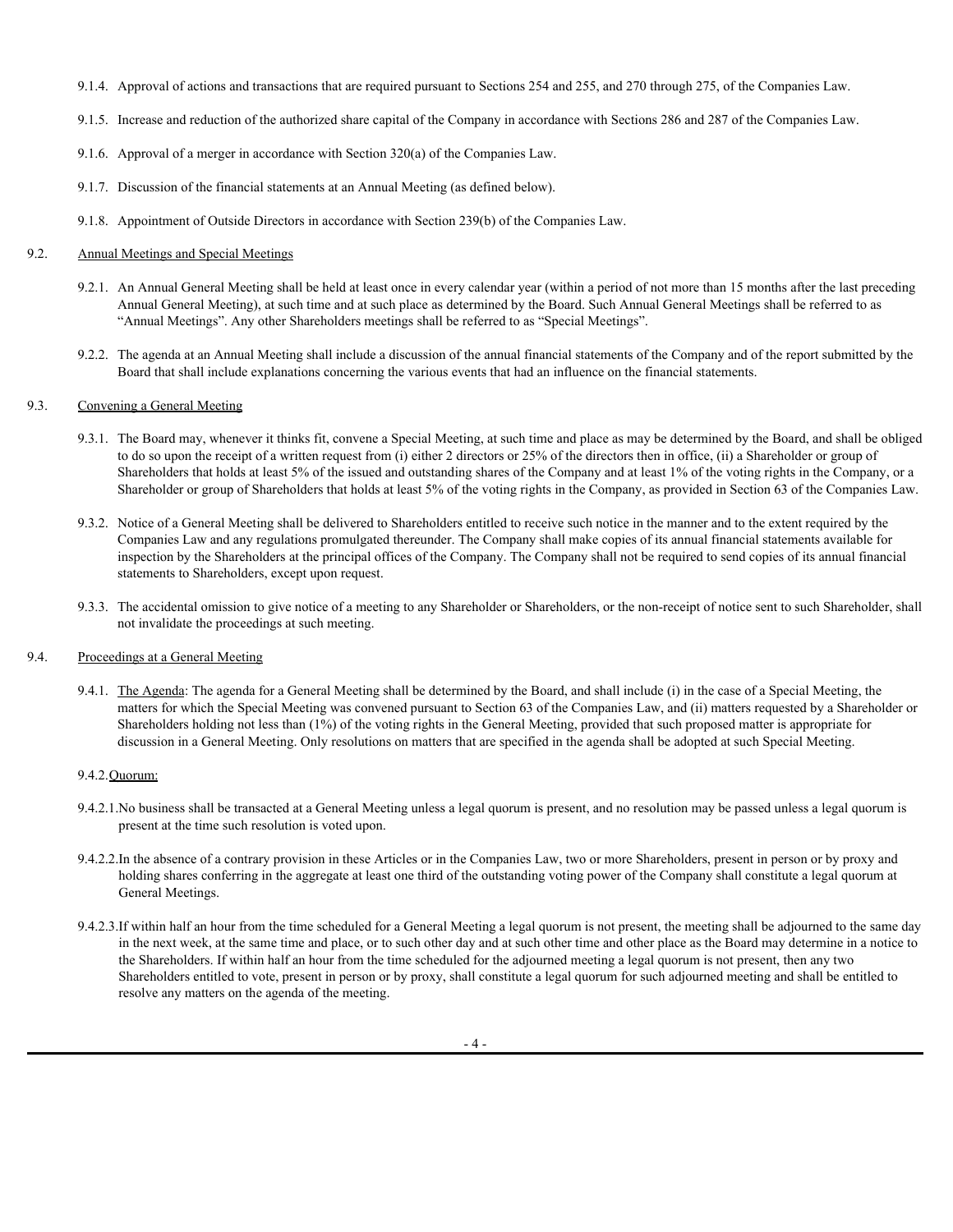- 9.1.4. Approval of actions and transactions that are required pursuant to Sections 254 and 255, and 270 through 275, of the Companies Law.
- 9.1.5. Increase and reduction of the authorized share capital of the Company in accordance with Sections 286 and 287 of the Companies Law.
- 9.1.6. Approval of a merger in accordance with Section 320(a) of the Companies Law.
- 9.1.7. Discussion of the financial statements at an Annual Meeting (as defined below).
- 9.1.8. Appointment of Outside Directors in accordance with Section 239(b) of the Companies Law.

## 9.2. Annual Meetings and Special Meetings

- 9.2.1. An Annual General Meeting shall be held at least once in every calendar year (within a period of not more than 15 months after the last preceding Annual General Meeting), at such time and at such place as determined by the Board. Such Annual General Meetings shall be referred to as "Annual Meetings". Any other Shareholders meetings shall be referred to as "Special Meetings".
- 9.2.2. The agenda at an Annual Meeting shall include a discussion of the annual financial statements of the Company and of the report submitted by the Board that shall include explanations concerning the various events that had an influence on the financial statements.

## 9.3. Convening a General Meeting

- 9.3.1. The Board may, whenever it thinks fit, convene a Special Meeting, at such time and place as may be determined by the Board, and shall be obliged to do so upon the receipt of a written request from (i) either 2 directors or 25% of the directors then in office, (ii) a Shareholder or group of Shareholders that holds at least 5% of the issued and outstanding shares of the Company and at least 1% of the voting rights in the Company, or a Shareholder or group of Shareholders that holds at least 5% of the voting rights in the Company, as provided in Section 63 of the Companies Law.
- 9.3.2. Notice of a General Meeting shall be delivered to Shareholders entitled to receive such notice in the manner and to the extent required by the Companies Law and any regulations promulgated thereunder. The Company shall make copies of its annual financial statements available for inspection by the Shareholders at the principal offices of the Company. The Company shall not be required to send copies of its annual financial statements to Shareholders, except upon request.
- 9.3.3. The accidental omission to give notice of a meeting to any Shareholder or Shareholders, or the non-receipt of notice sent to such Shareholder, shall not invalidate the proceedings at such meeting.

### 9.4. Proceedings at a General Meeting

9.4.1. The Agenda: The agenda for a General Meeting shall be determined by the Board, and shall include (i) in the case of a Special Meeting, the matters for which the Special Meeting was convened pursuant to Section 63 of the Companies Law, and (ii) matters requested by a Shareholder or Shareholders holding not less than (1%) of the voting rights in the General Meeting, provided that such proposed matter is appropriate for discussion in a General Meeting. Only resolutions on matters that are specified in the agenda shall be adopted at such Special Meeting.

### 9.4.2.Quorum:

- 9.4.2.1.No business shall be transacted at a General Meeting unless a legal quorum is present, and no resolution may be passed unless a legal quorum is present at the time such resolution is voted upon.
- 9.4.2.2.In the absence of a contrary provision in these Articles or in the Companies Law, two or more Shareholders, present in person or by proxy and holding shares conferring in the aggregate at least one third of the outstanding voting power of the Company shall constitute a legal quorum at General Meetings.
- 9.4.2.3.If within half an hour from the time scheduled for a General Meeting a legal quorum is not present, the meeting shall be adjourned to the same day in the next week, at the same time and place, or to such other day and at such other time and other place as the Board may determine in a notice to the Shareholders. If within half an hour from the time scheduled for the adjourned meeting a legal quorum is not present, then any two Shareholders entitled to vote, present in person or by proxy, shall constitute a legal quorum for such adjourned meeting and shall be entitled to resolve any matters on the agenda of the meeting.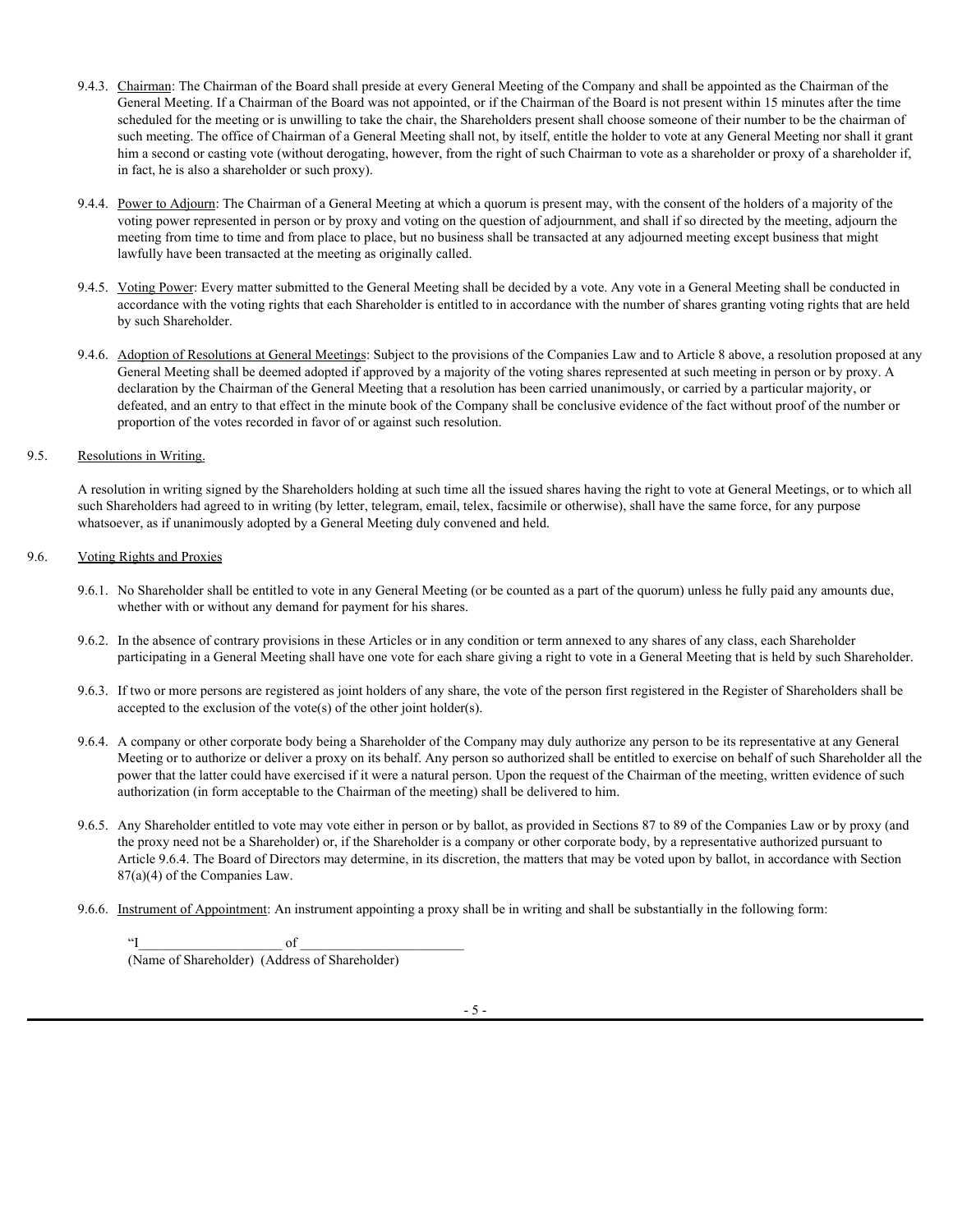- 9.4.3. Chairman: The Chairman of the Board shall preside at every General Meeting of the Company and shall be appointed as the Chairman of the General Meeting. If a Chairman of the Board was not appointed, or if the Chairman of the Board is not present within 15 minutes after the time scheduled for the meeting or is unwilling to take the chair, the Shareholders present shall choose someone of their number to be the chairman of such meeting. The office of Chairman of a General Meeting shall not, by itself, entitle the holder to vote at any General Meeting nor shall it grant him a second or casting vote (without derogating, however, from the right of such Chairman to vote as a shareholder or proxy of a shareholder if, in fact, he is also a shareholder or such proxy).
- 9.4.4. Power to Adjourn: The Chairman of a General Meeting at which a quorum is present may, with the consent of the holders of a majority of the voting power represented in person or by proxy and voting on the question of adjournment, and shall if so directed by the meeting, adjourn the meeting from time to time and from place to place, but no business shall be transacted at any adjourned meeting except business that might lawfully have been transacted at the meeting as originally called.
- 9.4.5. Voting Power: Every matter submitted to the General Meeting shall be decided by a vote. Any vote in a General Meeting shall be conducted in accordance with the voting rights that each Shareholder is entitled to in accordance with the number of shares granting voting rights that are held by such Shareholder.
- 9.4.6. Adoption of Resolutions at General Meetings: Subject to the provisions of the Companies Law and to Article 8 above, a resolution proposed at any General Meeting shall be deemed adopted if approved by a majority of the voting shares represented at such meeting in person or by proxy. A declaration by the Chairman of the General Meeting that a resolution has been carried unanimously, or carried by a particular majority, or defeated, and an entry to that effect in the minute book of the Company shall be conclusive evidence of the fact without proof of the number or proportion of the votes recorded in favor of or against such resolution.

# 9.5. Resolutions in Writing.

A resolution in writing signed by the Shareholders holding at such time all the issued shares having the right to vote at General Meetings, or to which all such Shareholders had agreed to in writing (by letter, telegram, email, telex, facsimile or otherwise), shall have the same force, for any purpose whatsoever, as if unanimously adopted by a General Meeting duly convened and held.

# 9.6. Voting Rights and Proxies

- 9.6.1. No Shareholder shall be entitled to vote in any General Meeting (or be counted as a part of the quorum) unless he fully paid any amounts due, whether with or without any demand for payment for his shares.
- 9.6.2. In the absence of contrary provisions in these Articles or in any condition or term annexed to any shares of any class, each Shareholder participating in a General Meeting shall have one vote for each share giving a right to vote in a General Meeting that is held by such Shareholder.
- 9.6.3. If two or more persons are registered as joint holders of any share, the vote of the person first registered in the Register of Shareholders shall be accepted to the exclusion of the vote(s) of the other joint holder(s).
- 9.6.4. A company or other corporate body being a Shareholder of the Company may duly authorize any person to be its representative at any General Meeting or to authorize or deliver a proxy on its behalf. Any person so authorized shall be entitled to exercise on behalf of such Shareholder all the power that the latter could have exercised if it were a natural person. Upon the request of the Chairman of the meeting, written evidence of such authorization (in form acceptable to the Chairman of the meeting) shall be delivered to him.
- 9.6.5. Any Shareholder entitled to vote may vote either in person or by ballot, as provided in Sections 87 to 89 of the Companies Law or by proxy (and the proxy need not be a Shareholder) or, if the Shareholder is a company or other corporate body, by a representative authorized pursuant to Article 9.6.4. The Board of Directors may determine, in its discretion, the matters that may be voted upon by ballot, in accordance with Section 87(a)(4) of the Companies Law.
- 9.6.6. Instrument of Appointment: An instrument appointing a proxy shall be in writing and shall be substantially in the following form:

 $\Gamma$  of  $\Gamma$ (Name of Shareholder) (Address of Shareholder)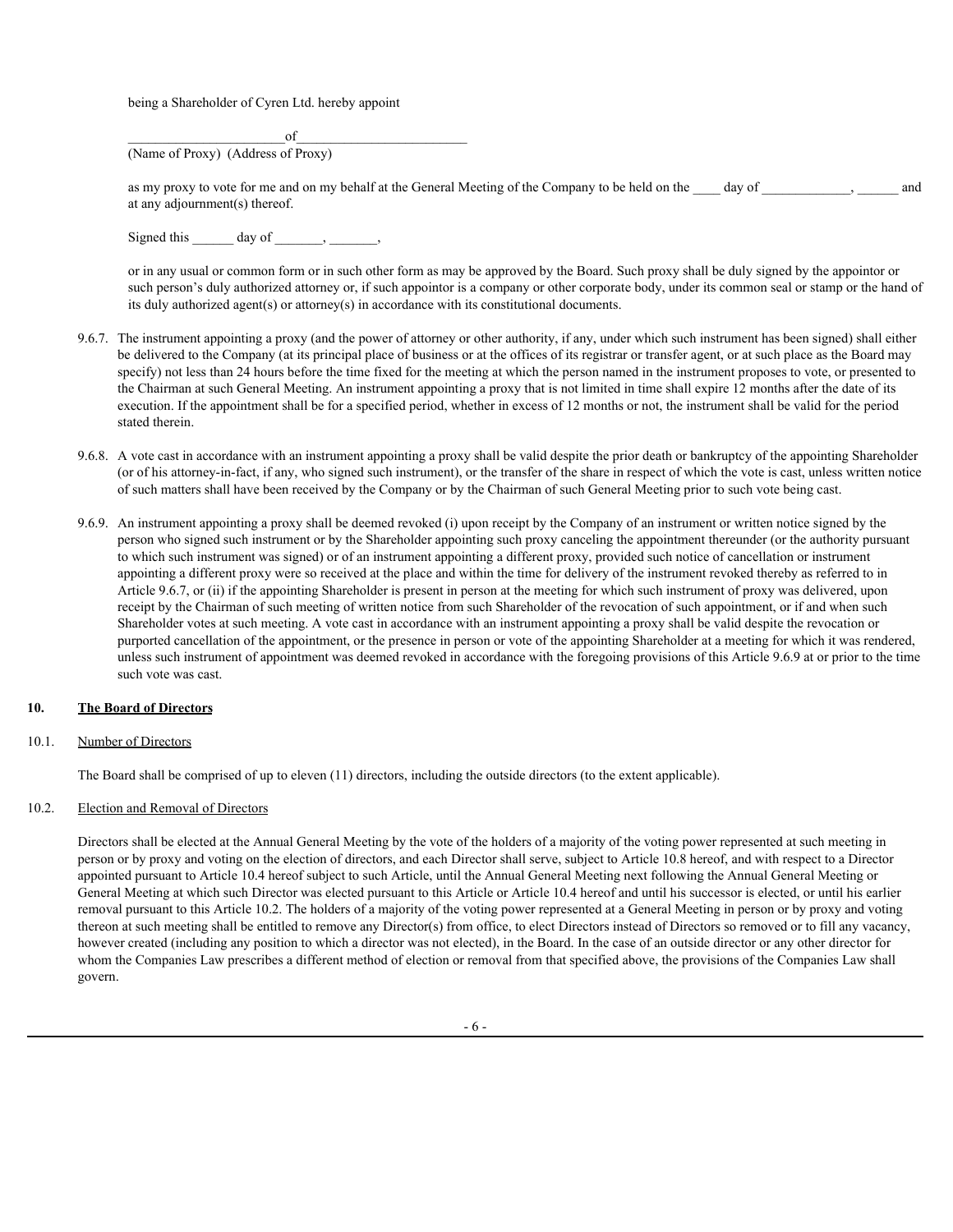being a Shareholder of Cyren Ltd. hereby appoint

 $\circ$  of (Name of Proxy) (Address of Proxy)

as my proxy to vote for me and on my behalf at the General Meeting of the Company to be held on the day of and at any adjournment(s) thereof.

Signed this  $\qquad \qquad \text{day of} \qquad , \qquad ,$ 

or in any usual or common form or in such other form as may be approved by the Board. Such proxy shall be duly signed by the appointor or such person's duly authorized attorney or, if such appointor is a company or other corporate body, under its common seal or stamp or the hand of its duly authorized agent(s) or attorney(s) in accordance with its constitutional documents.

- 9.6.7. The instrument appointing a proxy (and the power of attorney or other authority, if any, under which such instrument has been signed) shall either be delivered to the Company (at its principal place of business or at the offices of its registrar or transfer agent, or at such place as the Board may specify) not less than 24 hours before the time fixed for the meeting at which the person named in the instrument proposes to vote, or presented to the Chairman at such General Meeting. An instrument appointing a proxy that is not limited in time shall expire 12 months after the date of its execution. If the appointment shall be for a specified period, whether in excess of 12 months or not, the instrument shall be valid for the period stated therein.
- 9.6.8. A vote cast in accordance with an instrument appointing a proxy shall be valid despite the prior death or bankruptcy of the appointing Shareholder (or of his attorney-in-fact, if any, who signed such instrument), or the transfer of the share in respect of which the vote is cast, unless written notice of such matters shall have been received by the Company or by the Chairman of such General Meeting prior to such vote being cast.
- 9.6.9. An instrument appointing a proxy shall be deemed revoked (i) upon receipt by the Company of an instrument or written notice signed by the person who signed such instrument or by the Shareholder appointing such proxy canceling the appointment thereunder (or the authority pursuant to which such instrument was signed) or of an instrument appointing a different proxy, provided such notice of cancellation or instrument appointing a different proxy were so received at the place and within the time for delivery of the instrument revoked thereby as referred to in Article 9.6.7, or (ii) if the appointing Shareholder is present in person at the meeting for which such instrument of proxy was delivered, upon receipt by the Chairman of such meeting of written notice from such Shareholder of the revocation of such appointment, or if and when such Shareholder votes at such meeting. A vote cast in accordance with an instrument appointing a proxy shall be valid despite the revocation or purported cancellation of the appointment, or the presence in person or vote of the appointing Shareholder at a meeting for which it was rendered, unless such instrument of appointment was deemed revoked in accordance with the foregoing provisions of this Article 9.6.9 at or prior to the time such vote was cast.

### **10. The Board of Directors**

#### 10.1. Number of Directors

The Board shall be comprised of up to eleven (11) directors, including the outside directors (to the extent applicable).

#### 10.2. Election and Removal of Directors

Directors shall be elected at the Annual General Meeting by the vote of the holders of a majority of the voting power represented at such meeting in person or by proxy and voting on the election of directors, and each Director shall serve, subject to Article 10.8 hereof, and with respect to a Director appointed pursuant to Article 10.4 hereof subject to such Article, until the Annual General Meeting next following the Annual General Meeting or General Meeting at which such Director was elected pursuant to this Article or Article 10.4 hereof and until his successor is elected, or until his earlier removal pursuant to this Article 10.2. The holders of a majority of the voting power represented at a General Meeting in person or by proxy and voting thereon at such meeting shall be entitled to remove any Director(s) from office, to elect Directors instead of Directors so removed or to fill any vacancy, however created (including any position to which a director was not elected), in the Board. In the case of an outside director or any other director for whom the Companies Law prescribes a different method of election or removal from that specified above, the provisions of the Companies Law shall govern.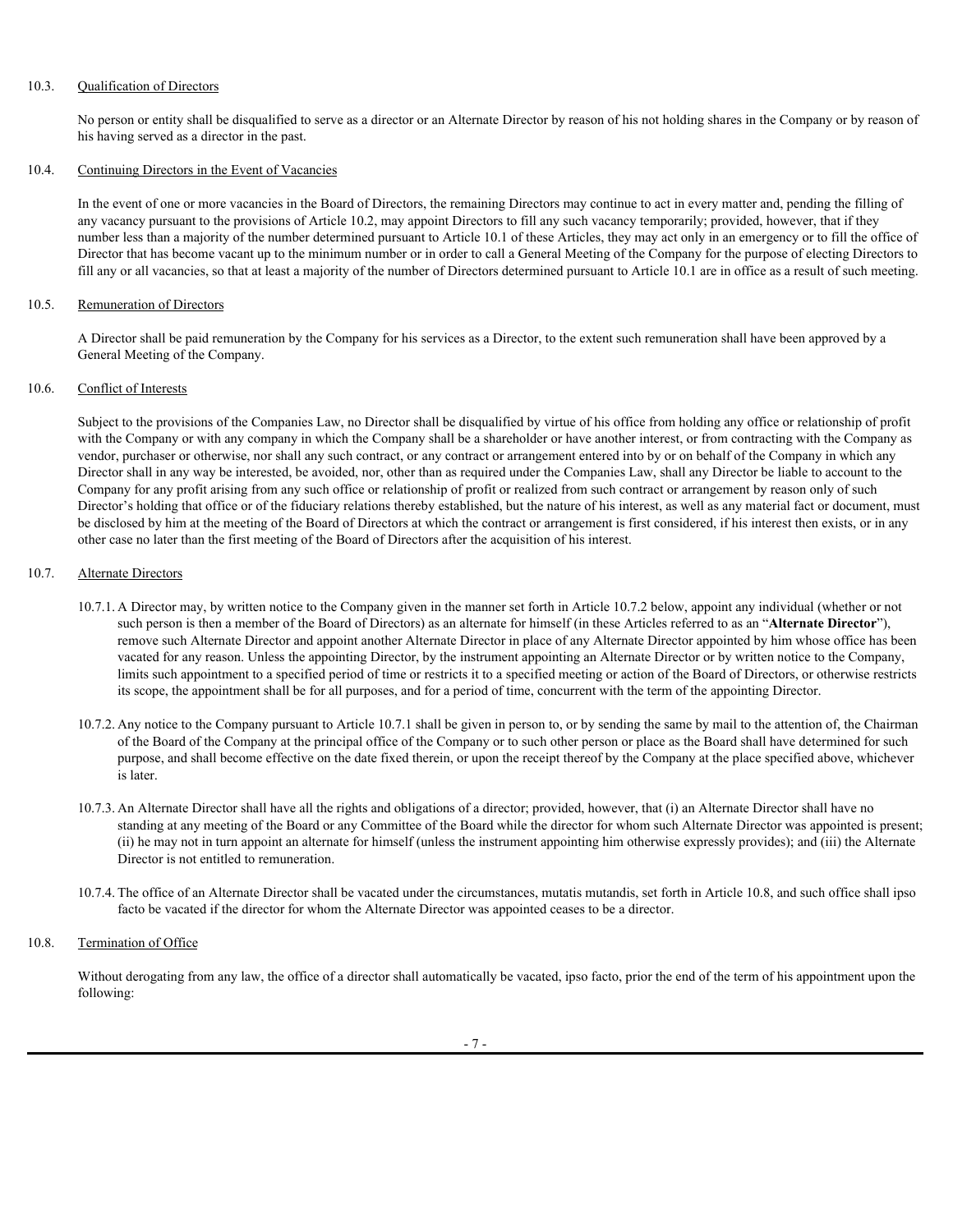# 10.3. Qualification of Directors

No person or entity shall be disqualified to serve as a director or an Alternate Director by reason of his not holding shares in the Company or by reason of his having served as a director in the past.

## 10.4. Continuing Directors in the Event of Vacancies

In the event of one or more vacancies in the Board of Directors, the remaining Directors may continue to act in every matter and, pending the filling of any vacancy pursuant to the provisions of Article 10.2, may appoint Directors to fill any such vacancy temporarily; provided, however, that if they number less than a majority of the number determined pursuant to Article 10.1 of these Articles, they may act only in an emergency or to fill the office of Director that has become vacant up to the minimum number or in order to call a General Meeting of the Company for the purpose of electing Directors to fill any or all vacancies, so that at least a majority of the number of Directors determined pursuant to Article 10.1 are in office as a result of such meeting.

#### 10.5. Remuneration of Directors

A Director shall be paid remuneration by the Company for his services as a Director, to the extent such remuneration shall have been approved by a General Meeting of the Company.

# 10.6. Conflict of Interests

Subject to the provisions of the Companies Law, no Director shall be disqualified by virtue of his office from holding any office or relationship of profit with the Company or with any company in which the Company shall be a shareholder or have another interest, or from contracting with the Company as vendor, purchaser or otherwise, nor shall any such contract, or any contract or arrangement entered into by or on behalf of the Company in which any Director shall in any way be interested, be avoided, nor, other than as required under the Companies Law, shall any Director be liable to account to the Company for any profit arising from any such office or relationship of profit or realized from such contract or arrangement by reason only of such Director's holding that office or of the fiduciary relations thereby established, but the nature of his interest, as well as any material fact or document, must be disclosed by him at the meeting of the Board of Directors at which the contract or arrangement is first considered, if his interest then exists, or in any other case no later than the first meeting of the Board of Directors after the acquisition of his interest.

# 10.7. Alternate Directors

- 10.7.1. A Director may, by written notice to the Company given in the manner set forth in Article 10.7.2 below, appoint any individual (whether or not such person is then a member of the Board of Directors) as an alternate for himself (in these Articles referred to as an "**Alternate Director**"), remove such Alternate Director and appoint another Alternate Director in place of any Alternate Director appointed by him whose office has been vacated for any reason. Unless the appointing Director, by the instrument appointing an Alternate Director or by written notice to the Company, limits such appointment to a specified period of time or restricts it to a specified meeting or action of the Board of Directors, or otherwise restricts its scope, the appointment shall be for all purposes, and for a period of time, concurrent with the term of the appointing Director.
- 10.7.2. Any notice to the Company pursuant to Article 10.7.1 shall be given in person to, or by sending the same by mail to the attention of, the Chairman of the Board of the Company at the principal office of the Company or to such other person or place as the Board shall have determined for such purpose, and shall become effective on the date fixed therein, or upon the receipt thereof by the Company at the place specified above, whichever is later.
- 10.7.3. An Alternate Director shall have all the rights and obligations of a director; provided, however, that (i) an Alternate Director shall have no standing at any meeting of the Board or any Committee of the Board while the director for whom such Alternate Director was appointed is present; (ii) he may not in turn appoint an alternate for himself (unless the instrument appointing him otherwise expressly provides); and (iii) the Alternate Director is not entitled to remuneration.
- 10.7.4. The office of an Alternate Director shall be vacated under the circumstances, mutatis mutandis, set forth in Article 10.8, and such office shall ipso facto be vacated if the director for whom the Alternate Director was appointed ceases to be a director.

# 10.8. Termination of Office

Without derogating from any law, the office of a director shall automatically be vacated, ipso facto, prior the end of the term of his appointment upon the following: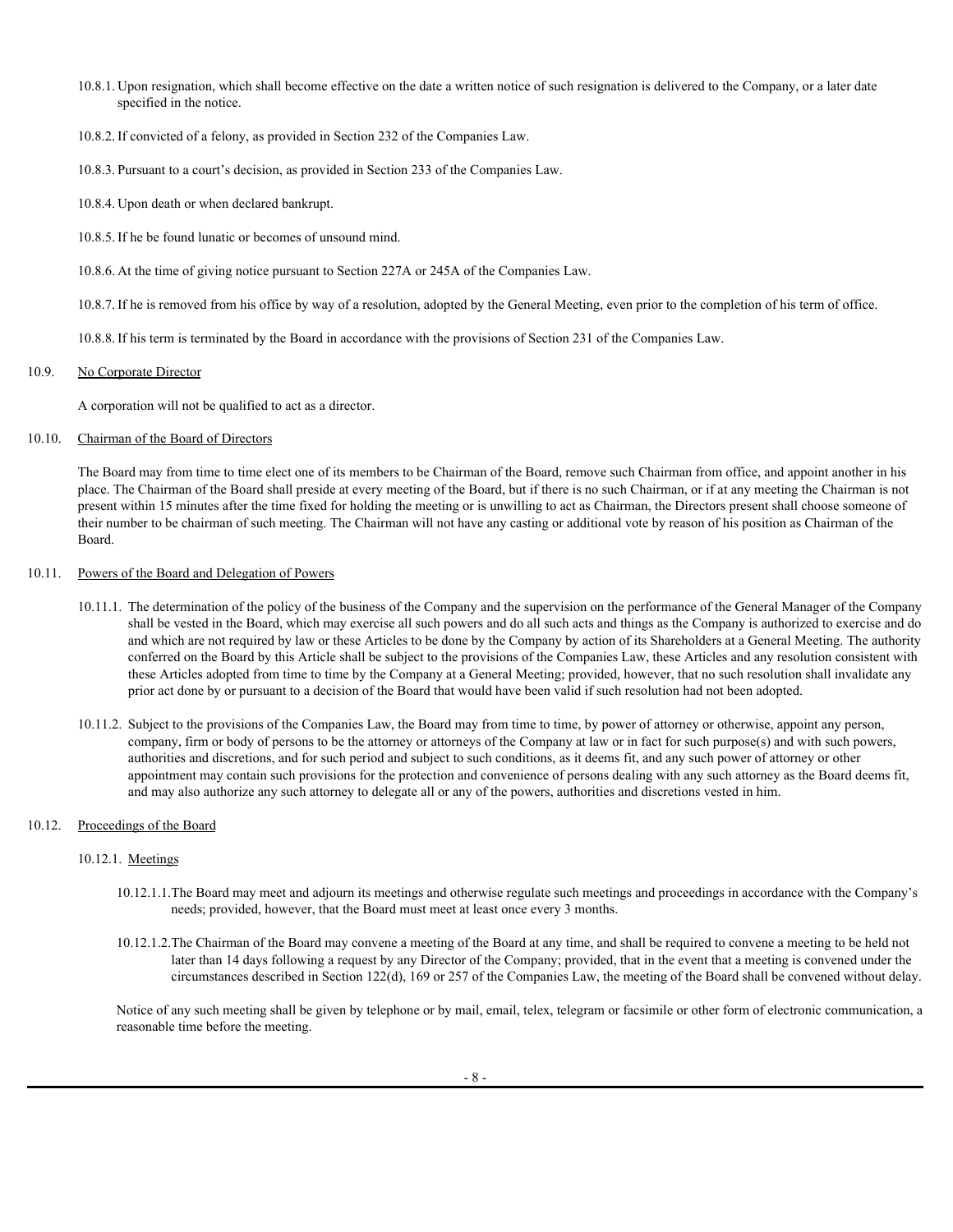- 10.8.1. Upon resignation, which shall become effective on the date a written notice of such resignation is delivered to the Company, or a later date specified in the notice.
- 10.8.2. If convicted of a felony, as provided in Section 232 of the Companies Law.
- 10.8.3. Pursuant to a court's decision, as provided in Section 233 of the Companies Law.
- 10.8.4. Upon death or when declared bankrupt.
- 10.8.5. If he be found lunatic or becomes of unsound mind.
- 10.8.6. At the time of giving notice pursuant to Section 227A or 245A of the Companies Law.

10.8.7. If he is removed from his office by way of a resolution, adopted by the General Meeting, even prior to the completion of his term of office.

10.8.8. If his term is terminated by the Board in accordance with the provisions of Section 231 of the Companies Law.

### 10.9. No Corporate Director

A corporation will not be qualified to act as a director.

## 10.10. Chairman of the Board of Directors

The Board may from time to time elect one of its members to be Chairman of the Board, remove such Chairman from office, and appoint another in his place. The Chairman of the Board shall preside at every meeting of the Board, but if there is no such Chairman, or if at any meeting the Chairman is not present within 15 minutes after the time fixed for holding the meeting or is unwilling to act as Chairman, the Directors present shall choose someone of their number to be chairman of such meeting. The Chairman will not have any casting or additional vote by reason of his position as Chairman of the Board.

# 10.11. Powers of the Board and Delegation of Powers

- 10.11.1. The determination of the policy of the business of the Company and the supervision on the performance of the General Manager of the Company shall be vested in the Board, which may exercise all such powers and do all such acts and things as the Company is authorized to exercise and do and which are not required by law or these Articles to be done by the Company by action of its Shareholders at a General Meeting. The authority conferred on the Board by this Article shall be subject to the provisions of the Companies Law, these Articles and any resolution consistent with these Articles adopted from time to time by the Company at a General Meeting; provided, however, that no such resolution shall invalidate any prior act done by or pursuant to a decision of the Board that would have been valid if such resolution had not been adopted.
- 10.11.2. Subject to the provisions of the Companies Law, the Board may from time to time, by power of attorney or otherwise, appoint any person, company, firm or body of persons to be the attorney or attorneys of the Company at law or in fact for such purpose(s) and with such powers, authorities and discretions, and for such period and subject to such conditions, as it deems fit, and any such power of attorney or other appointment may contain such provisions for the protection and convenience of persons dealing with any such attorney as the Board deems fit, and may also authorize any such attorney to delegate all or any of the powers, authorities and discretions vested in him.

### 10.12. Proceedings of the Board

### 10.12.1. Meetings

- 10.12.1.1.The Board may meet and adjourn its meetings and otherwise regulate such meetings and proceedings in accordance with the Company's needs; provided, however, that the Board must meet at least once every 3 months.
- 10.12.1.2.The Chairman of the Board may convene a meeting of the Board at any time, and shall be required to convene a meeting to be held not later than 14 days following a request by any Director of the Company; provided, that in the event that a meeting is convened under the circumstances described in Section 122(d), 169 or 257 of the Companies Law, the meeting of the Board shall be convened without delay.

Notice of any such meeting shall be given by telephone or by mail, email, telex, telegram or facsimile or other form of electronic communication, a reasonable time before the meeting.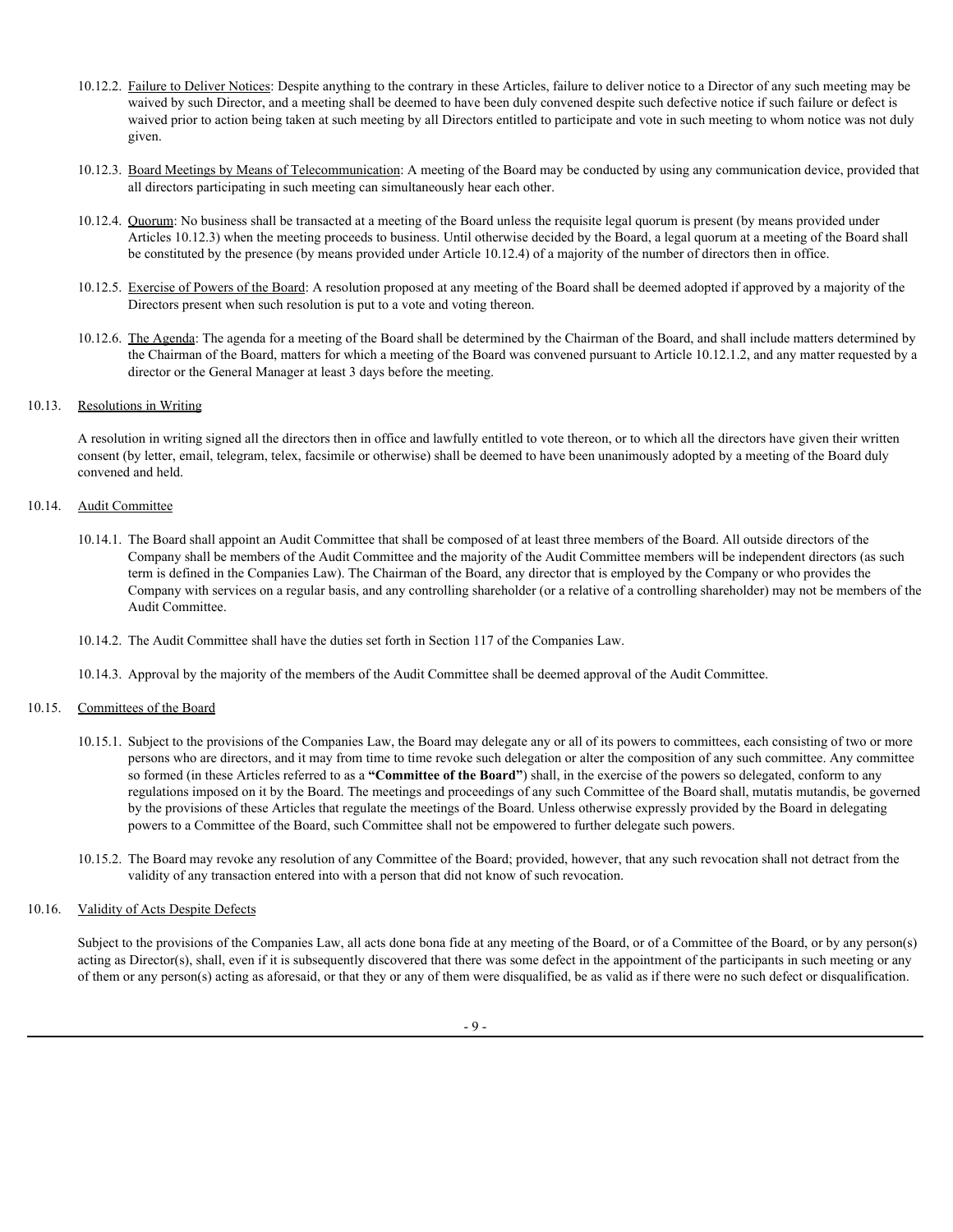- 10.12.2. Failure to Deliver Notices: Despite anything to the contrary in these Articles, failure to deliver notice to a Director of any such meeting may be waived by such Director, and a meeting shall be deemed to have been duly convened despite such defective notice if such failure or defect is waived prior to action being taken at such meeting by all Directors entitled to participate and vote in such meeting to whom notice was not duly given.
- 10.12.3. Board Meetings by Means of Telecommunication: A meeting of the Board may be conducted by using any communication device, provided that all directors participating in such meeting can simultaneously hear each other.
- 10.12.4. Quorum: No business shall be transacted at a meeting of the Board unless the requisite legal quorum is present (by means provided under Articles 10.12.3) when the meeting proceeds to business. Until otherwise decided by the Board, a legal quorum at a meeting of the Board shall be constituted by the presence (by means provided under Article 10.12.4) of a majority of the number of directors then in office.
- 10.12.5. Exercise of Powers of the Board: A resolution proposed at any meeting of the Board shall be deemed adopted if approved by a majority of the Directors present when such resolution is put to a vote and voting thereon.
- 10.12.6. The Agenda: The agenda for a meeting of the Board shall be determined by the Chairman of the Board, and shall include matters determined by the Chairman of the Board, matters for which a meeting of the Board was convened pursuant to Article 10.12.1.2, and any matter requested by a director or the General Manager at least 3 days before the meeting.

### 10.13. Resolutions in Writing

A resolution in writing signed all the directors then in office and lawfully entitled to vote thereon, or to which all the directors have given their written consent (by letter, email, telegram, telex, facsimile or otherwise) shall be deemed to have been unanimously adopted by a meeting of the Board duly convened and held.

# 10.14. Audit Committee

- 10.14.1. The Board shall appoint an Audit Committee that shall be composed of at least three members of the Board. All outside directors of the Company shall be members of the Audit Committee and the majority of the Audit Committee members will be independent directors (as such term is defined in the Companies Law). The Chairman of the Board, any director that is employed by the Company or who provides the Company with services on a regular basis, and any controlling shareholder (or a relative of a controlling shareholder) may not be members of the Audit Committee.
- 10.14.2. The Audit Committee shall have the duties set forth in Section 117 of the Companies Law.
- 10.14.3. Approval by the majority of the members of the Audit Committee shall be deemed approval of the Audit Committee.

#### 10.15. Committees of the Board

- 10.15.1. Subject to the provisions of the Companies Law, the Board may delegate any or all of its powers to committees, each consisting of two or more persons who are directors, and it may from time to time revoke such delegation or alter the composition of any such committee. Any committee so formed (in these Articles referred to as a **"Committee of the Board"**) shall, in the exercise of the powers so delegated, conform to any regulations imposed on it by the Board. The meetings and proceedings of any such Committee of the Board shall, mutatis mutandis, be governed by the provisions of these Articles that regulate the meetings of the Board. Unless otherwise expressly provided by the Board in delegating powers to a Committee of the Board, such Committee shall not be empowered to further delegate such powers.
- 10.15.2. The Board may revoke any resolution of any Committee of the Board; provided, however, that any such revocation shall not detract from the validity of any transaction entered into with a person that did not know of such revocation.

## 10.16. Validity of Acts Despite Defects

Subject to the provisions of the Companies Law, all acts done bona fide at any meeting of the Board, or of a Committee of the Board, or by any person(s) acting as Director(s), shall, even if it is subsequently discovered that there was some defect in the appointment of the participants in such meeting or any of them or any person(s) acting as aforesaid, or that they or any of them were disqualified, be as valid as if there were no such defect or disqualification.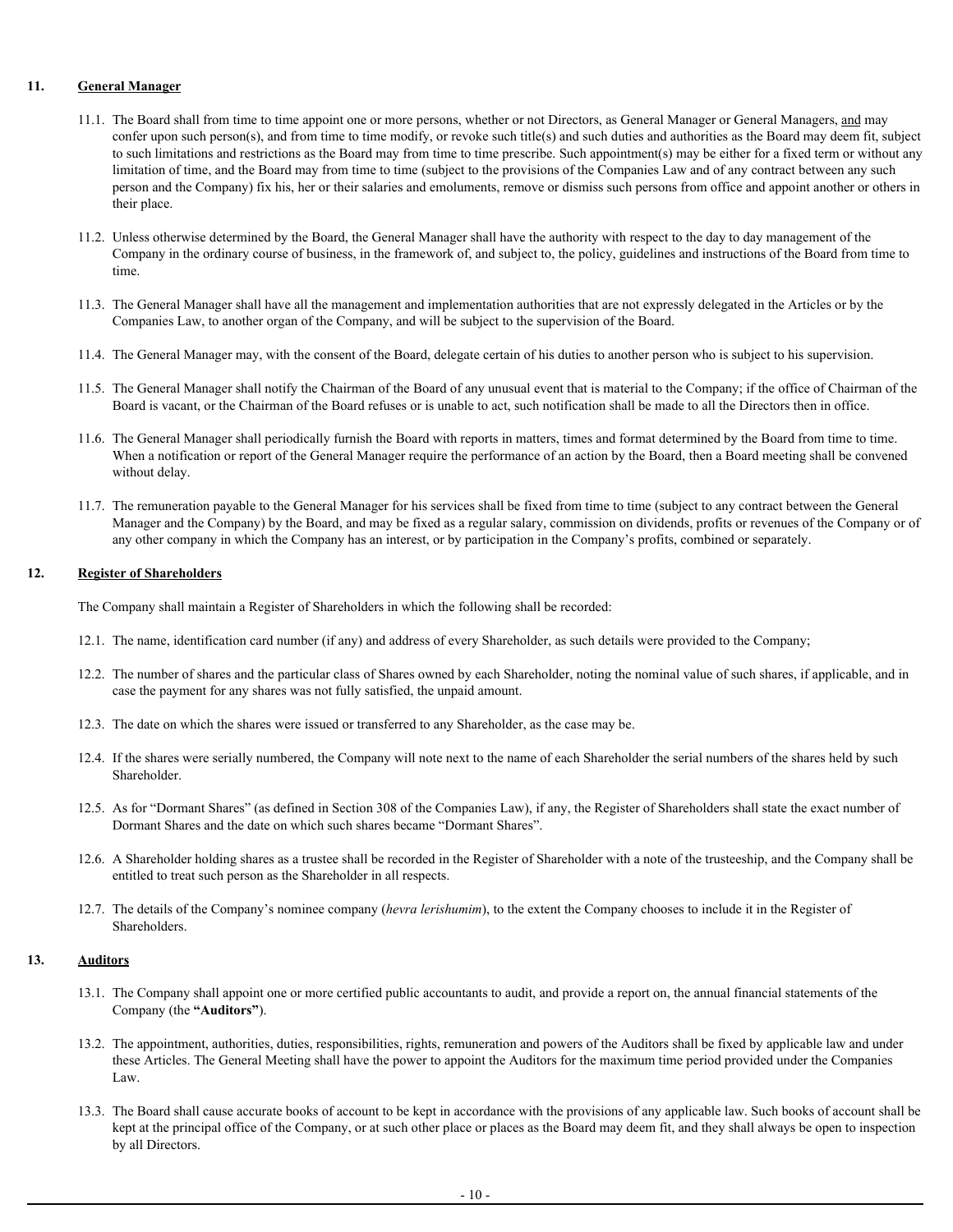# **11. General Manager**

- 11.1. The Board shall from time to time appoint one or more persons, whether or not Directors, as General Manager or General Managers, and may confer upon such person(s), and from time to time modify, or revoke such title(s) and such duties and authorities as the Board may deem fit, subject to such limitations and restrictions as the Board may from time to time prescribe. Such appointment(s) may be either for a fixed term or without any limitation of time, and the Board may from time to time (subject to the provisions of the Companies Law and of any contract between any such person and the Company) fix his, her or their salaries and emoluments, remove or dismiss such persons from office and appoint another or others in their place.
- 11.2. Unless otherwise determined by the Board, the General Manager shall have the authority with respect to the day to day management of the Company in the ordinary course of business, in the framework of, and subject to, the policy, guidelines and instructions of the Board from time to time.
- 11.3. The General Manager shall have all the management and implementation authorities that are not expressly delegated in the Articles or by the Companies Law, to another organ of the Company, and will be subject to the supervision of the Board.
- 11.4. The General Manager may, with the consent of the Board, delegate certain of his duties to another person who is subject to his supervision.
- 11.5. The General Manager shall notify the Chairman of the Board of any unusual event that is material to the Company; if the office of Chairman of the Board is vacant, or the Chairman of the Board refuses or is unable to act, such notification shall be made to all the Directors then in office.
- 11.6. The General Manager shall periodically furnish the Board with reports in matters, times and format determined by the Board from time to time. When a notification or report of the General Manager require the performance of an action by the Board, then a Board meeting shall be convened without delay.
- 11.7. The remuneration payable to the General Manager for his services shall be fixed from time to time (subject to any contract between the General Manager and the Company) by the Board, and may be fixed as a regular salary, commission on dividends, profits or revenues of the Company or of any other company in which the Company has an interest, or by participation in the Company's profits, combined or separately.

# **12. Register of Shareholders**

The Company shall maintain a Register of Shareholders in which the following shall be recorded:

- 12.1. The name, identification card number (if any) and address of every Shareholder, as such details were provided to the Company;
- 12.2. The number of shares and the particular class of Shares owned by each Shareholder, noting the nominal value of such shares, if applicable, and in case the payment for any shares was not fully satisfied, the unpaid amount.
- 12.3. The date on which the shares were issued or transferred to any Shareholder, as the case may be.
- 12.4. If the shares were serially numbered, the Company will note next to the name of each Shareholder the serial numbers of the shares held by such Shareholder.
- 12.5. As for "Dormant Shares" (as defined in Section 308 of the Companies Law), if any, the Register of Shareholders shall state the exact number of Dormant Shares and the date on which such shares became "Dormant Shares".
- 12.6. A Shareholder holding shares as a trustee shall be recorded in the Register of Shareholder with a note of the trusteeship, and the Company shall be entitled to treat such person as the Shareholder in all respects.
- 12.7. The details of the Company's nominee company (*hevra lerishumim*), to the extent the Company chooses to include it in the Register of Shareholders.

# **13. Auditors**

- 13.1. The Company shall appoint one or more certified public accountants to audit, and provide a report on, the annual financial statements of the Company (the **"Auditors"**).
- 13.2. The appointment, authorities, duties, responsibilities, rights, remuneration and powers of the Auditors shall be fixed by applicable law and under these Articles. The General Meeting shall have the power to appoint the Auditors for the maximum time period provided under the Companies Law.
- 13.3. The Board shall cause accurate books of account to be kept in accordance with the provisions of any applicable law. Such books of account shall be kept at the principal office of the Company, or at such other place or places as the Board may deem fit, and they shall always be open to inspection by all Directors.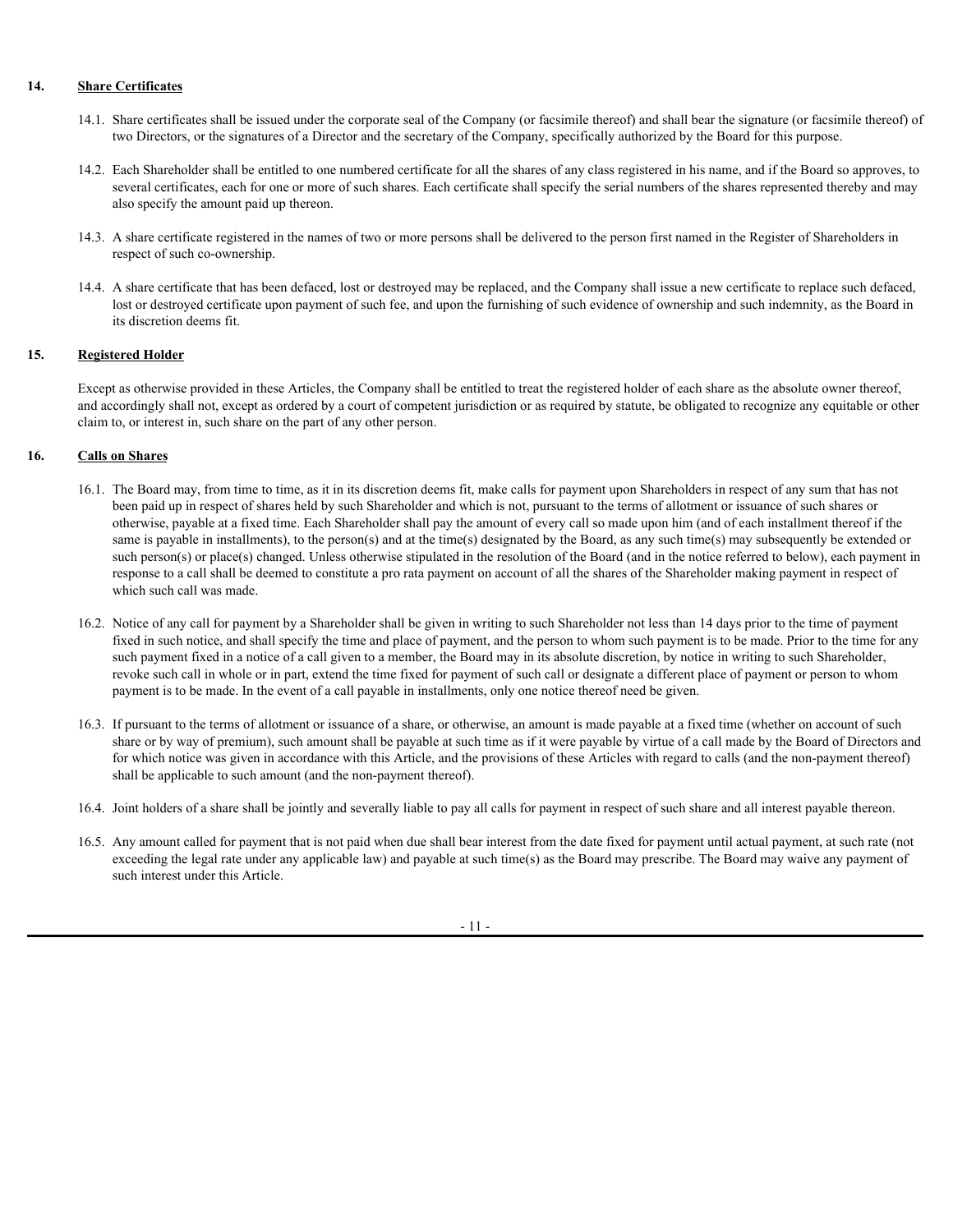# **14. Share Certificates**

- 14.1. Share certificates shall be issued under the corporate seal of the Company (or facsimile thereof) and shall bear the signature (or facsimile thereof) of two Directors, or the signatures of a Director and the secretary of the Company, specifically authorized by the Board for this purpose.
- 14.2. Each Shareholder shall be entitled to one numbered certificate for all the shares of any class registered in his name, and if the Board so approves, to several certificates, each for one or more of such shares. Each certificate shall specify the serial numbers of the shares represented thereby and may also specify the amount paid up thereon.
- 14.3. A share certificate registered in the names of two or more persons shall be delivered to the person first named in the Register of Shareholders in respect of such co-ownership.
- 14.4. A share certificate that has been defaced, lost or destroyed may be replaced, and the Company shall issue a new certificate to replace such defaced, lost or destroyed certificate upon payment of such fee, and upon the furnishing of such evidence of ownership and such indemnity, as the Board in its discretion deems fit.

# **15. Registered Holder**

Except as otherwise provided in these Articles, the Company shall be entitled to treat the registered holder of each share as the absolute owner thereof, and accordingly shall not, except as ordered by a court of competent jurisdiction or as required by statute, be obligated to recognize any equitable or other claim to, or interest in, such share on the part of any other person.

# **16. Calls on Shares**

- 16.1. The Board may, from time to time, as it in its discretion deems fit, make calls for payment upon Shareholders in respect of any sum that has not been paid up in respect of shares held by such Shareholder and which is not, pursuant to the terms of allotment or issuance of such shares or otherwise, payable at a fixed time. Each Shareholder shall pay the amount of every call so made upon him (and of each installment thereof if the same is payable in installments), to the person(s) and at the time(s) designated by the Board, as any such time(s) may subsequently be extended or such person(s) or place(s) changed. Unless otherwise stipulated in the resolution of the Board (and in the notice referred to below), each payment in response to a call shall be deemed to constitute a pro rata payment on account of all the shares of the Shareholder making payment in respect of which such call was made.
- 16.2. Notice of any call for payment by a Shareholder shall be given in writing to such Shareholder not less than 14 days prior to the time of payment fixed in such notice, and shall specify the time and place of payment, and the person to whom such payment is to be made. Prior to the time for any such payment fixed in a notice of a call given to a member, the Board may in its absolute discretion, by notice in writing to such Shareholder, revoke such call in whole or in part, extend the time fixed for payment of such call or designate a different place of payment or person to whom payment is to be made. In the event of a call payable in installments, only one notice thereof need be given.
- 16.3. If pursuant to the terms of allotment or issuance of a share, or otherwise, an amount is made payable at a fixed time (whether on account of such share or by way of premium), such amount shall be payable at such time as if it were payable by virtue of a call made by the Board of Directors and for which notice was given in accordance with this Article, and the provisions of these Articles with regard to calls (and the non-payment thereof) shall be applicable to such amount (and the non-payment thereof).
- 16.4. Joint holders of a share shall be jointly and severally liable to pay all calls for payment in respect of such share and all interest payable thereon.
- 16.5. Any amount called for payment that is not paid when due shall bear interest from the date fixed for payment until actual payment, at such rate (not exceeding the legal rate under any applicable law) and payable at such time(s) as the Board may prescribe. The Board may waive any payment of such interest under this Article.

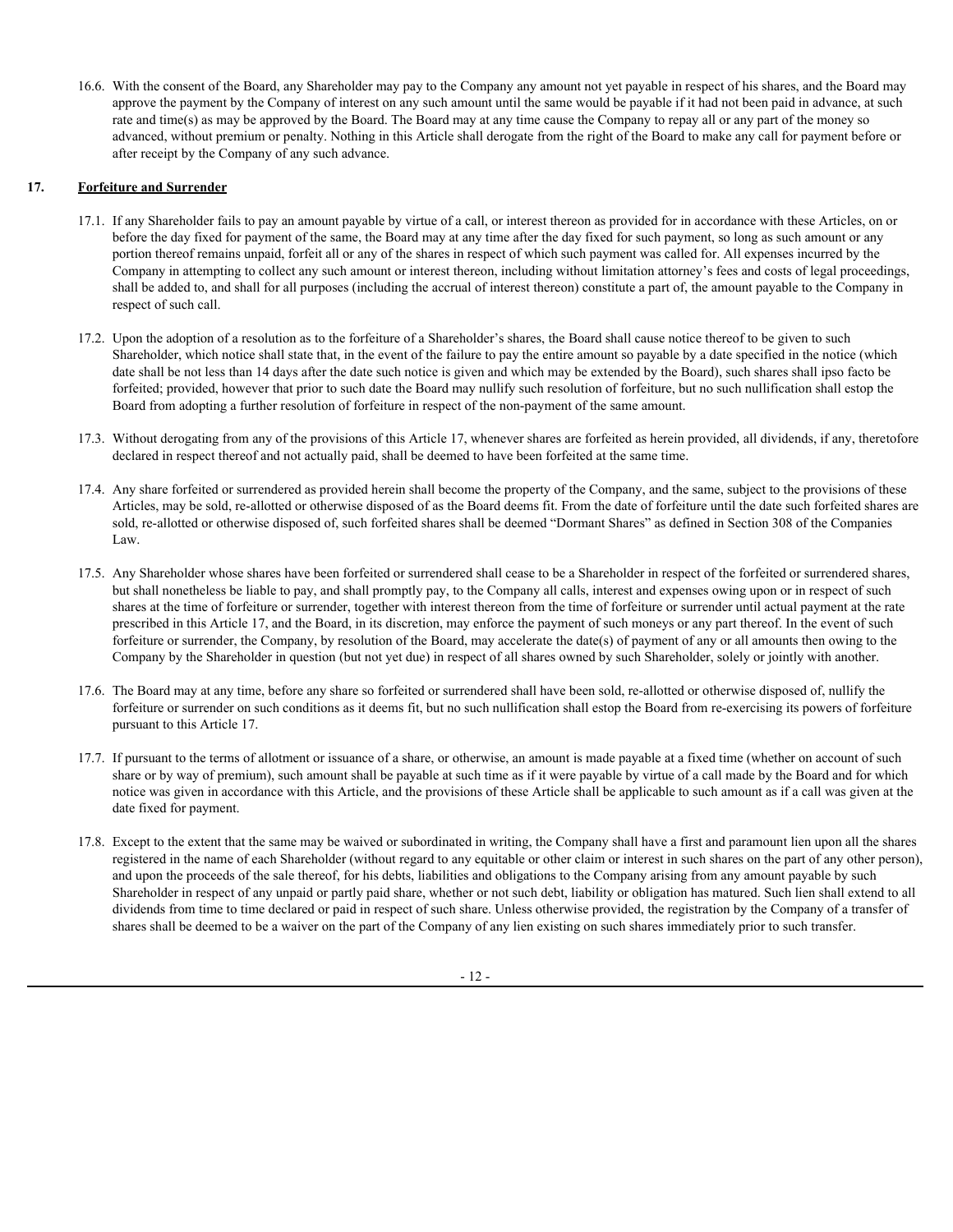16.6. With the consent of the Board, any Shareholder may pay to the Company any amount not yet payable in respect of his shares, and the Board may approve the payment by the Company of interest on any such amount until the same would be payable if it had not been paid in advance, at such rate and time(s) as may be approved by the Board. The Board may at any time cause the Company to repay all or any part of the money so advanced, without premium or penalty. Nothing in this Article shall derogate from the right of the Board to make any call for payment before or after receipt by the Company of any such advance.

# **17. Forfeiture and Surrender**

- 17.1. If any Shareholder fails to pay an amount payable by virtue of a call, or interest thereon as provided for in accordance with these Articles, on or before the day fixed for payment of the same, the Board may at any time after the day fixed for such payment, so long as such amount or any portion thereof remains unpaid, forfeit all or any of the shares in respect of which such payment was called for. All expenses incurred by the Company in attempting to collect any such amount or interest thereon, including without limitation attorney's fees and costs of legal proceedings, shall be added to, and shall for all purposes (including the accrual of interest thereon) constitute a part of, the amount payable to the Company in respect of such call.
- 17.2. Upon the adoption of a resolution as to the forfeiture of a Shareholder's shares, the Board shall cause notice thereof to be given to such Shareholder, which notice shall state that, in the event of the failure to pay the entire amount so payable by a date specified in the notice (which date shall be not less than 14 days after the date such notice is given and which may be extended by the Board), such shares shall ipso facto be forfeited; provided, however that prior to such date the Board may nullify such resolution of forfeiture, but no such nullification shall estop the Board from adopting a further resolution of forfeiture in respect of the non-payment of the same amount.
- 17.3. Without derogating from any of the provisions of this Article 17, whenever shares are forfeited as herein provided, all dividends, if any, theretofore declared in respect thereof and not actually paid, shall be deemed to have been forfeited at the same time.
- 17.4. Any share forfeited or surrendered as provided herein shall become the property of the Company, and the same, subject to the provisions of these Articles, may be sold, re-allotted or otherwise disposed of as the Board deems fit. From the date of forfeiture until the date such forfeited shares are sold, re-allotted or otherwise disposed of, such forfeited shares shall be deemed "Dormant Shares" as defined in Section 308 of the Companies Law.
- 17.5. Any Shareholder whose shares have been forfeited or surrendered shall cease to be a Shareholder in respect of the forfeited or surrendered shares, but shall nonetheless be liable to pay, and shall promptly pay, to the Company all calls, interest and expenses owing upon or in respect of such shares at the time of forfeiture or surrender, together with interest thereon from the time of forfeiture or surrender until actual payment at the rate prescribed in this Article 17, and the Board, in its discretion, may enforce the payment of such moneys or any part thereof. In the event of such forfeiture or surrender, the Company, by resolution of the Board, may accelerate the date(s) of payment of any or all amounts then owing to the Company by the Shareholder in question (but not yet due) in respect of all shares owned by such Shareholder, solely or jointly with another.
- 17.6. The Board may at any time, before any share so forfeited or surrendered shall have been sold, re-allotted or otherwise disposed of, nullify the forfeiture or surrender on such conditions as it deems fit, but no such nullification shall estop the Board from re-exercising its powers of forfeiture pursuant to this Article 17.
- 17.7. If pursuant to the terms of allotment or issuance of a share, or otherwise, an amount is made payable at a fixed time (whether on account of such share or by way of premium), such amount shall be payable at such time as if it were payable by virtue of a call made by the Board and for which notice was given in accordance with this Article, and the provisions of these Article shall be applicable to such amount as if a call was given at the date fixed for payment.
- 17.8. Except to the extent that the same may be waived or subordinated in writing, the Company shall have a first and paramount lien upon all the shares registered in the name of each Shareholder (without regard to any equitable or other claim or interest in such shares on the part of any other person), and upon the proceeds of the sale thereof, for his debts, liabilities and obligations to the Company arising from any amount payable by such Shareholder in respect of any unpaid or partly paid share, whether or not such debt, liability or obligation has matured. Such lien shall extend to all dividends from time to time declared or paid in respect of such share. Unless otherwise provided, the registration by the Company of a transfer of shares shall be deemed to be a waiver on the part of the Company of any lien existing on such shares immediately prior to such transfer.

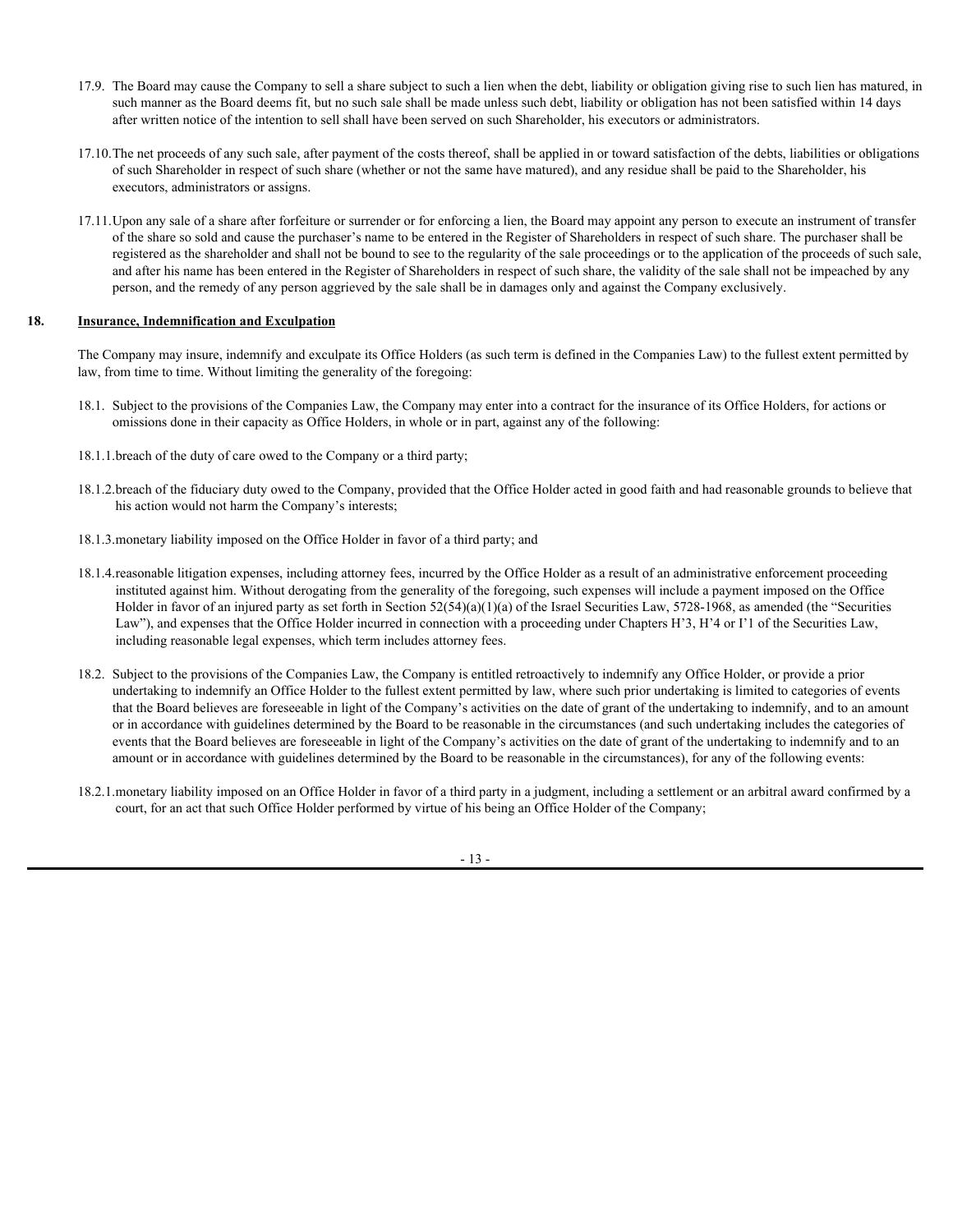- 17.9. The Board may cause the Company to sell a share subject to such a lien when the debt, liability or obligation giving rise to such lien has matured, in such manner as the Board deems fit, but no such sale shall be made unless such debt, liability or obligation has not been satisfied within 14 days after written notice of the intention to sell shall have been served on such Shareholder, his executors or administrators.
- 17.10.The net proceeds of any such sale, after payment of the costs thereof, shall be applied in or toward satisfaction of the debts, liabilities or obligations of such Shareholder in respect of such share (whether or not the same have matured), and any residue shall be paid to the Shareholder, his executors, administrators or assigns.
- 17.11.Upon any sale of a share after forfeiture or surrender or for enforcing a lien, the Board may appoint any person to execute an instrument of transfer of the share so sold and cause the purchaser's name to be entered in the Register of Shareholders in respect of such share. The purchaser shall be registered as the shareholder and shall not be bound to see to the regularity of the sale proceedings or to the application of the proceeds of such sale, and after his name has been entered in the Register of Shareholders in respect of such share, the validity of the sale shall not be impeached by any person, and the remedy of any person aggrieved by the sale shall be in damages only and against the Company exclusively.

## **18. Insurance, Indemnification and Exculpation**

The Company may insure, indemnify and exculpate its Office Holders (as such term is defined in the Companies Law) to the fullest extent permitted by law, from time to time. Without limiting the generality of the foregoing:

- 18.1. Subject to the provisions of the Companies Law, the Company may enter into a contract for the insurance of its Office Holders, for actions or omissions done in their capacity as Office Holders, in whole or in part, against any of the following:
- 18.1.1.breach of the duty of care owed to the Company or a third party;
- 18.1.2.breach of the fiduciary duty owed to the Company, provided that the Office Holder acted in good faith and had reasonable grounds to believe that his action would not harm the Company's interests;
- 18.1.3.monetary liability imposed on the Office Holder in favor of a third party; and
- 18.1.4.reasonable litigation expenses, including attorney fees, incurred by the Office Holder as a result of an administrative enforcement proceeding instituted against him. Without derogating from the generality of the foregoing, such expenses will include a payment imposed on the Office Holder in favor of an injured party as set forth in Section 52(54)(a)(1)(a) of the Israel Securities Law, 5728-1968, as amended (the "Securities" Law"), and expenses that the Office Holder incurred in connection with a proceeding under Chapters H'3, H'4 or I'1 of the Securities Law, including reasonable legal expenses, which term includes attorney fees.
- 18.2. Subject to the provisions of the Companies Law, the Company is entitled retroactively to indemnify any Office Holder, or provide a prior undertaking to indemnify an Office Holder to the fullest extent permitted by law, where such prior undertaking is limited to categories of events that the Board believes are foreseeable in light of the Company's activities on the date of grant of the undertaking to indemnify, and to an amount or in accordance with guidelines determined by the Board to be reasonable in the circumstances (and such undertaking includes the categories of events that the Board believes are foreseeable in light of the Company's activities on the date of grant of the undertaking to indemnify and to an amount or in accordance with guidelines determined by the Board to be reasonable in the circumstances), for any of the following events:
- 18.2.1.monetary liability imposed on an Office Holder in favor of a third party in a judgment, including a settlement or an arbitral award confirmed by a court, for an act that such Office Holder performed by virtue of his being an Office Holder of the Company;

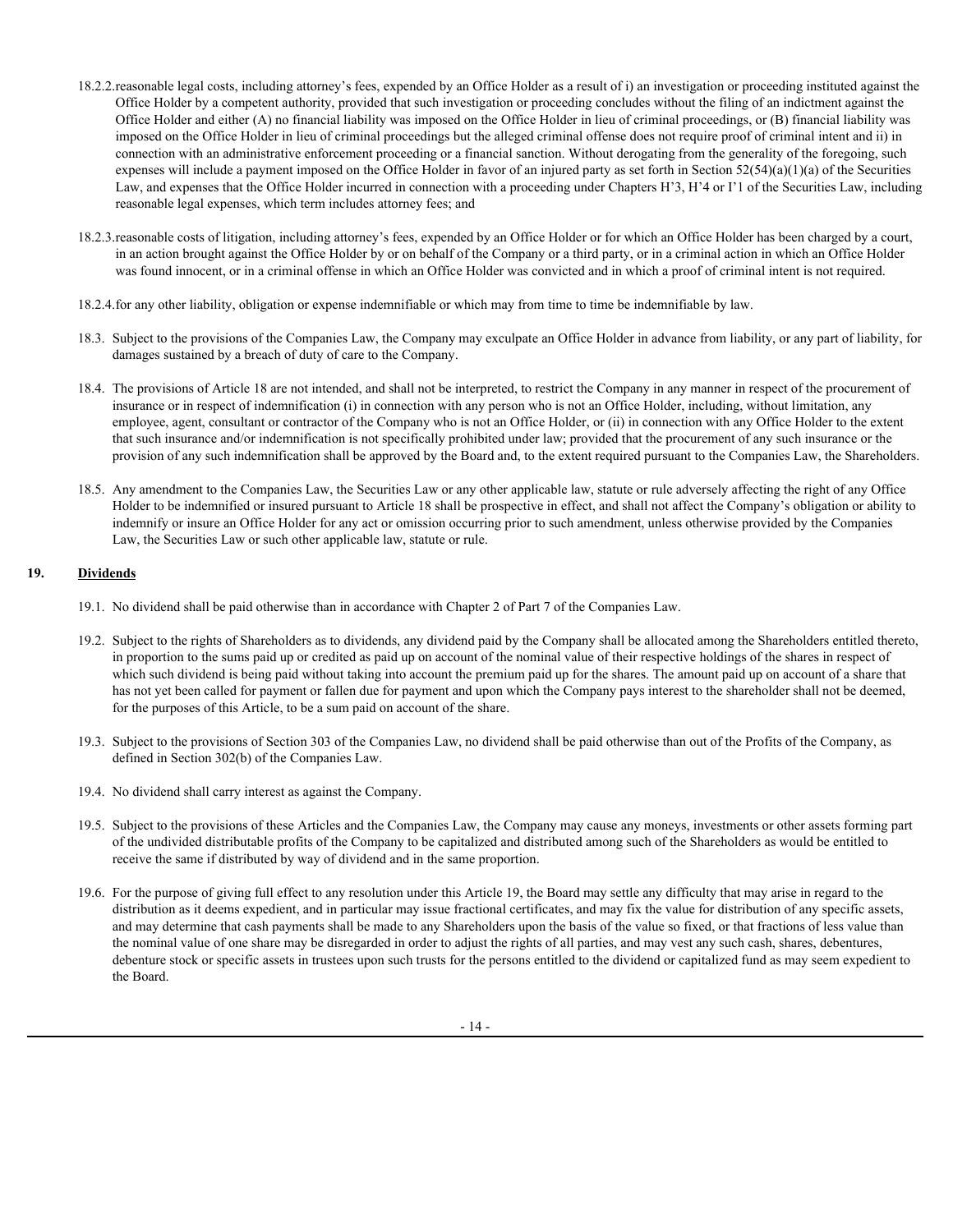- 18.2.2.reasonable legal costs, including attorney's fees, expended by an Office Holder as a result of i) an investigation or proceeding instituted against the Office Holder by a competent authority, provided that such investigation or proceeding concludes without the filing of an indictment against the Office Holder and either (A) no financial liability was imposed on the Office Holder in lieu of criminal proceedings, or (B) financial liability was imposed on the Office Holder in lieu of criminal proceedings but the alleged criminal offense does not require proof of criminal intent and ii) in connection with an administrative enforcement proceeding or a financial sanction. Without derogating from the generality of the foregoing, such expenses will include a payment imposed on the Office Holder in favor of an injured party as set forth in Section 52(54)(a)(1)(a) of the Securities Law, and expenses that the Office Holder incurred in connection with a proceeding under Chapters H'3, H'4 or I'1 of the Securities Law, including reasonable legal expenses, which term includes attorney fees; and
- 18.2.3.reasonable costs of litigation, including attorney's fees, expended by an Office Holder or for which an Office Holder has been charged by a court, in an action brought against the Office Holder by or on behalf of the Company or a third party, or in a criminal action in which an Office Holder was found innocent, or in a criminal offense in which an Office Holder was convicted and in which a proof of criminal intent is not required.
- 18.2.4.for any other liability, obligation or expense indemnifiable or which may from time to time be indemnifiable by law.
- 18.3. Subject to the provisions of the Companies Law, the Company may exculpate an Office Holder in advance from liability, or any part of liability, for damages sustained by a breach of duty of care to the Company.
- 18.4. The provisions of Article 18 are not intended, and shall not be interpreted, to restrict the Company in any manner in respect of the procurement of insurance or in respect of indemnification (i) in connection with any person who is not an Office Holder, including, without limitation, any employee, agent, consultant or contractor of the Company who is not an Office Holder, or (ii) in connection with any Office Holder to the extent that such insurance and/or indemnification is not specifically prohibited under law; provided that the procurement of any such insurance or the provision of any such indemnification shall be approved by the Board and, to the extent required pursuant to the Companies Law, the Shareholders.
- 18.5. Any amendment to the Companies Law, the Securities Law or any other applicable law, statute or rule adversely affecting the right of any Office Holder to be indemnified or insured pursuant to Article 18 shall be prospective in effect, and shall not affect the Company's obligation or ability to indemnify or insure an Office Holder for any act or omission occurring prior to such amendment, unless otherwise provided by the Companies Law, the Securities Law or such other applicable law, statute or rule.

# **19. Dividends**

- 19.1. No dividend shall be paid otherwise than in accordance with Chapter 2 of Part 7 of the Companies Law.
- 19.2. Subject to the rights of Shareholders as to dividends, any dividend paid by the Company shall be allocated among the Shareholders entitled thereto, in proportion to the sums paid up or credited as paid up on account of the nominal value of their respective holdings of the shares in respect of which such dividend is being paid without taking into account the premium paid up for the shares. The amount paid up on account of a share that has not yet been called for payment or fallen due for payment and upon which the Company pays interest to the shareholder shall not be deemed, for the purposes of this Article, to be a sum paid on account of the share.
- 19.3. Subject to the provisions of Section 303 of the Companies Law, no dividend shall be paid otherwise than out of the Profits of the Company, as defined in Section 302(b) of the Companies Law.
- 19.4. No dividend shall carry interest as against the Company.
- 19.5. Subject to the provisions of these Articles and the Companies Law, the Company may cause any moneys, investments or other assets forming part of the undivided distributable profits of the Company to be capitalized and distributed among such of the Shareholders as would be entitled to receive the same if distributed by way of dividend and in the same proportion.
- 19.6. For the purpose of giving full effect to any resolution under this Article 19, the Board may settle any difficulty that may arise in regard to the distribution as it deems expedient, and in particular may issue fractional certificates, and may fix the value for distribution of any specific assets, and may determine that cash payments shall be made to any Shareholders upon the basis of the value so fixed, or that fractions of less value than the nominal value of one share may be disregarded in order to adjust the rights of all parties, and may vest any such cash, shares, debentures, debenture stock or specific assets in trustees upon such trusts for the persons entitled to the dividend or capitalized fund as may seem expedient to the Board.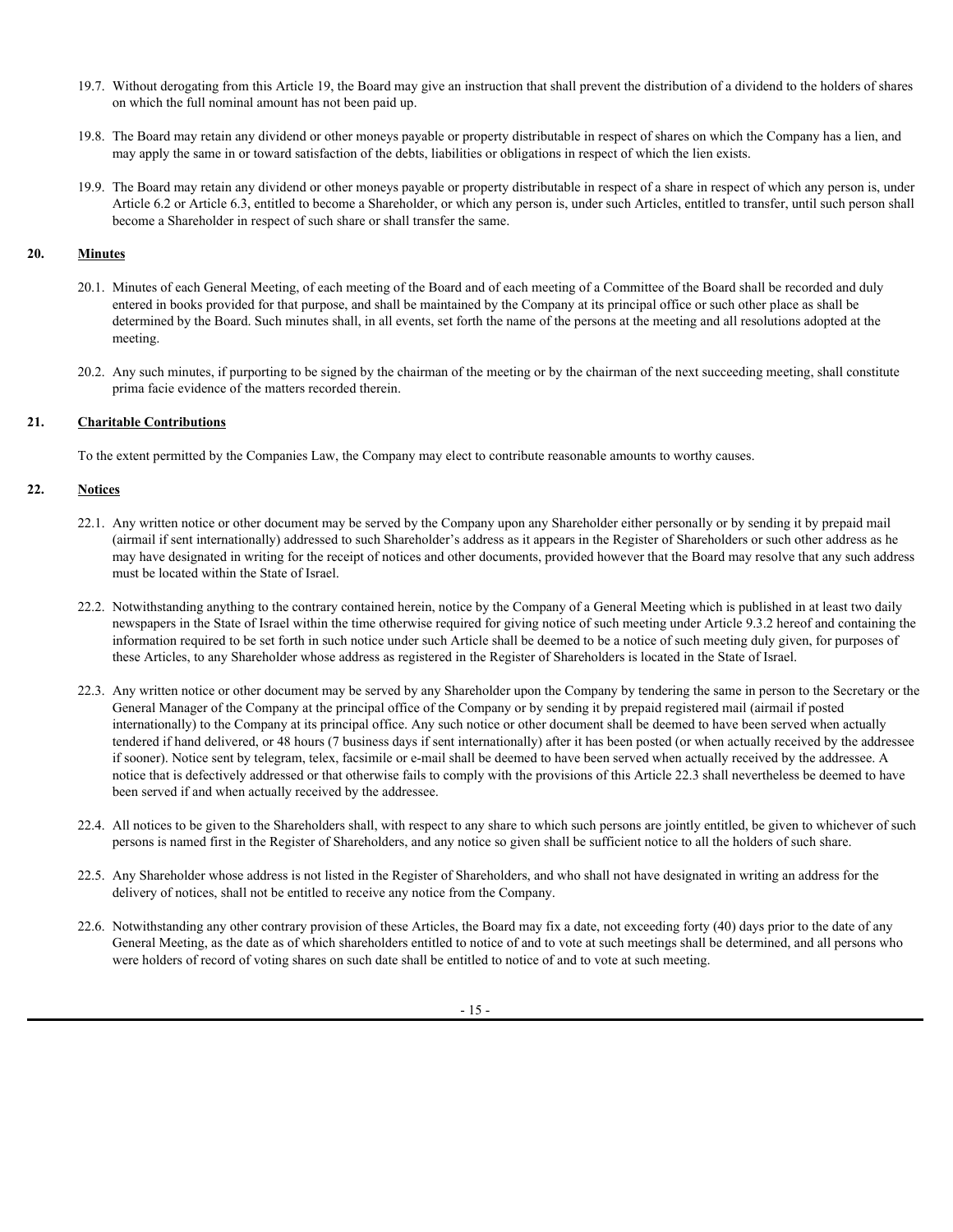- 19.7. Without derogating from this Article 19, the Board may give an instruction that shall prevent the distribution of a dividend to the holders of shares on which the full nominal amount has not been paid up.
- 19.8. The Board may retain any dividend or other moneys payable or property distributable in respect of shares on which the Company has a lien, and may apply the same in or toward satisfaction of the debts, liabilities or obligations in respect of which the lien exists.
- 19.9. The Board may retain any dividend or other moneys payable or property distributable in respect of a share in respect of which any person is, under Article 6.2 or Article 6.3, entitled to become a Shareholder, or which any person is, under such Articles, entitled to transfer, until such person shall become a Shareholder in respect of such share or shall transfer the same.

# **20. Minutes**

- 20.1. Minutes of each General Meeting, of each meeting of the Board and of each meeting of a Committee of the Board shall be recorded and duly entered in books provided for that purpose, and shall be maintained by the Company at its principal office or such other place as shall be determined by the Board. Such minutes shall, in all events, set forth the name of the persons at the meeting and all resolutions adopted at the meeting.
- 20.2. Any such minutes, if purporting to be signed by the chairman of the meeting or by the chairman of the next succeeding meeting, shall constitute prima facie evidence of the matters recorded therein.

# **21. Charitable Contributions**

To the extent permitted by the Companies Law, the Company may elect to contribute reasonable amounts to worthy causes.

# **22. Notices**

- 22.1. Any written notice or other document may be served by the Company upon any Shareholder either personally or by sending it by prepaid mail (airmail if sent internationally) addressed to such Shareholder's address as it appears in the Register of Shareholders or such other address as he may have designated in writing for the receipt of notices and other documents, provided however that the Board may resolve that any such address must be located within the State of Israel.
- 22.2. Notwithstanding anything to the contrary contained herein, notice by the Company of a General Meeting which is published in at least two daily newspapers in the State of Israel within the time otherwise required for giving notice of such meeting under Article 9.3.2 hereof and containing the information required to be set forth in such notice under such Article shall be deemed to be a notice of such meeting duly given, for purposes of these Articles, to any Shareholder whose address as registered in the Register of Shareholders is located in the State of Israel.
- 22.3. Any written notice or other document may be served by any Shareholder upon the Company by tendering the same in person to the Secretary or the General Manager of the Company at the principal office of the Company or by sending it by prepaid registered mail (airmail if posted internationally) to the Company at its principal office. Any such notice or other document shall be deemed to have been served when actually tendered if hand delivered, or 48 hours (7 business days if sent internationally) after it has been posted (or when actually received by the addressee if sooner). Notice sent by telegram, telex, facsimile or e-mail shall be deemed to have been served when actually received by the addressee. A notice that is defectively addressed or that otherwise fails to comply with the provisions of this Article 22.3 shall nevertheless be deemed to have been served if and when actually received by the addressee.
- 22.4. All notices to be given to the Shareholders shall, with respect to any share to which such persons are jointly entitled, be given to whichever of such persons is named first in the Register of Shareholders, and any notice so given shall be sufficient notice to all the holders of such share.
- 22.5. Any Shareholder whose address is not listed in the Register of Shareholders, and who shall not have designated in writing an address for the delivery of notices, shall not be entitled to receive any notice from the Company.
- 22.6. Notwithstanding any other contrary provision of these Articles, the Board may fix a date, not exceeding forty (40) days prior to the date of any General Meeting, as the date as of which shareholders entitled to notice of and to vote at such meetings shall be determined, and all persons who were holders of record of voting shares on such date shall be entitled to notice of and to vote at such meeting.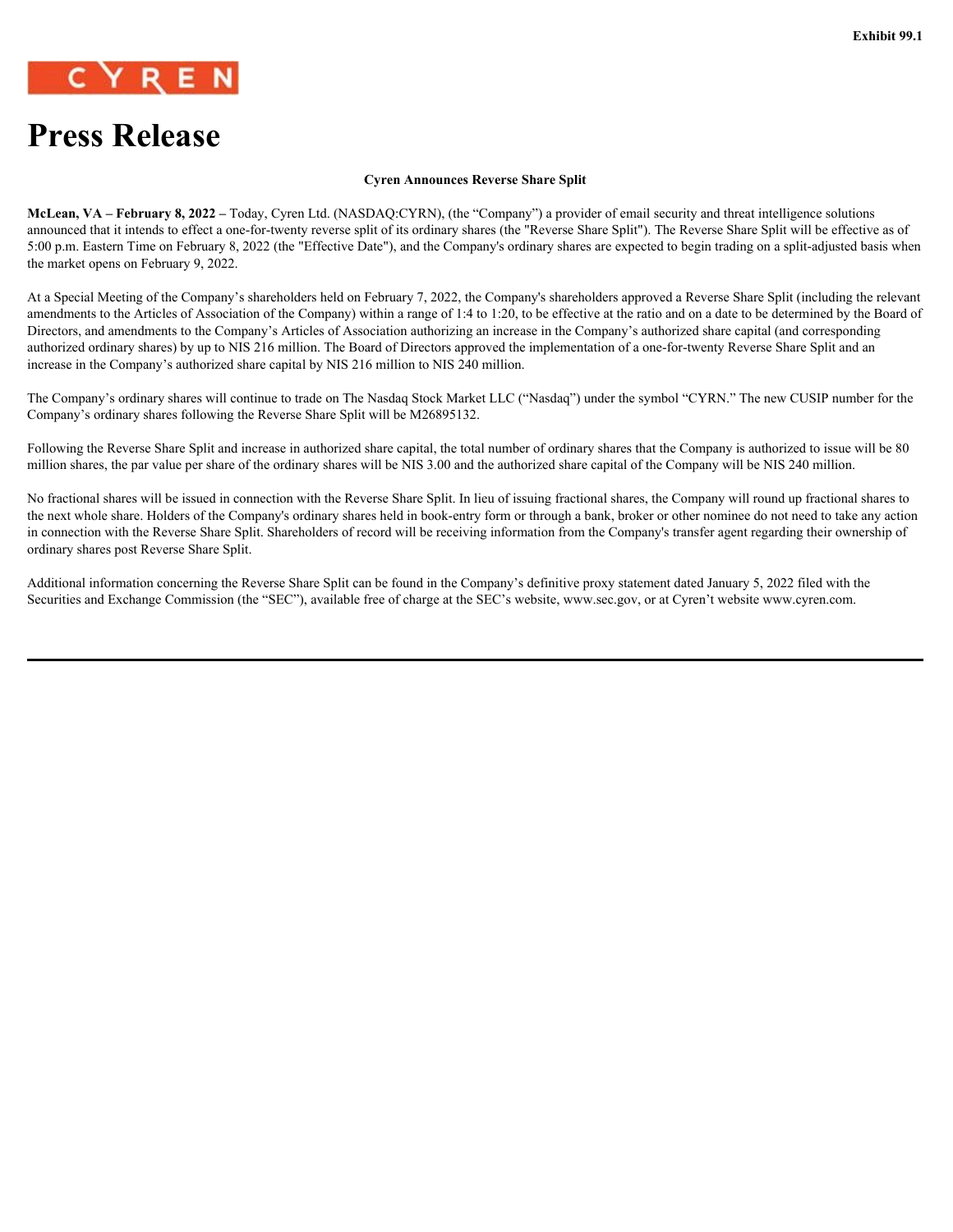<span id="page-21-0"></span>

# **Press Release**

#### **Cyren Announces Reverse Share Split**

**McLean, VA – February 8, 2022 –** Today, Cyren Ltd. (NASDAQ:CYRN), (the "Company") a provider of email security and threat intelligence solutions announced that it intends to effect a one-for-twenty reverse split of its ordinary shares (the "Reverse Share Split"). The Reverse Share Split will be effective as of 5:00 p.m. Eastern Time on February 8, 2022 (the "Effective Date"), and the Company's ordinary shares are expected to begin trading on a split-adjusted basis when the market opens on February 9, 2022.

At a Special Meeting of the Company's shareholders held on February 7, 2022, the Company's shareholders approved a Reverse Share Split (including the relevant amendments to the Articles of Association of the Company) within a range of 1:4 to 1:20, to be effective at the ratio and on a date to be determined by the Board of Directors, and amendments to the Company's Articles of Association authorizing an increase in the Company's authorized share capital (and corresponding authorized ordinary shares) by up to NIS 216 million. The Board of Directors approved the implementation of a one-for-twenty Reverse Share Split and an increase in the Company's authorized share capital by NIS 216 million to NIS 240 million.

The Company's ordinary shares will continue to trade on The Nasdaq Stock Market LLC ("Nasdaq") under the symbol "CYRN." The new CUSIP number for the Company's ordinary shares following the Reverse Share Split will be M26895132.

Following the Reverse Share Split and increase in authorized share capital, the total number of ordinary shares that the Company is authorized to issue will be 80 million shares, the par value per share of the ordinary shares will be NIS 3.00 and the authorized share capital of the Company will be NIS 240 million.

No fractional shares will be issued in connection with the Reverse Share Split. In lieu of issuing fractional shares, the Company will round up fractional shares to the next whole share. Holders of the Company's ordinary shares held in book-entry form or through a bank, broker or other nominee do not need to take any action in connection with the Reverse Share Split. Shareholders of record will be receiving information from the Company's transfer agent regarding their ownership of ordinary shares post Reverse Share Split.

Additional information concerning the Reverse Share Split can be found in the Company's definitive proxy statement dated January 5, 2022 filed with the Securities and Exchange Commission (the "SEC"), available free of charge at the SEC's website, www.sec.gov, or at Cyren't website www.cyren.com.